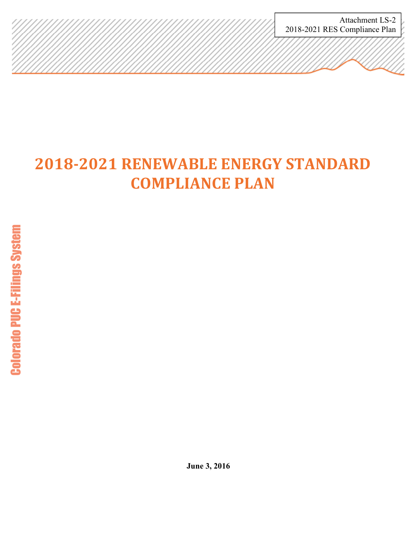Attachment LS-2 2018-2021 RES Compliance Plan

# **2018-2021 RENEWABLE ENERGY STANDARD COMPLIANCE PLAN**

**June 3, 2016**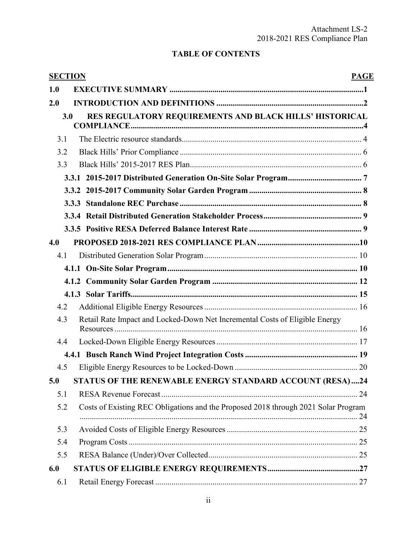# **TABLE OF CONTENTS**

| <b>SECTION</b> |                                                                                    | <b>PAGE</b> |
|----------------|------------------------------------------------------------------------------------|-------------|
| 1.0            |                                                                                    |             |
| 2.0            |                                                                                    |             |
| 3.0            | RES REGULATORY REQUIREMENTS AND BLACK HILLS' HISTORICAL                            |             |
| 3.1            |                                                                                    |             |
| 3.2            |                                                                                    |             |
| 3.3            |                                                                                    |             |
|                |                                                                                    |             |
|                |                                                                                    |             |
|                |                                                                                    |             |
|                |                                                                                    |             |
|                |                                                                                    |             |
| 4.0            |                                                                                    |             |
| 4.1            |                                                                                    |             |
|                |                                                                                    |             |
|                |                                                                                    |             |
|                |                                                                                    |             |
| 4.2            |                                                                                    |             |
| 4.3            | Retail Rate Impact and Locked-Down Net Incremental Costs of Eligible Energy        |             |
| 4.4            |                                                                                    |             |
|                |                                                                                    |             |
| 4.5            |                                                                                    |             |
| 5.0            | STATUS OF THE RENEWABLE ENERGY STANDARD ACCOUNT (RESA)24                           |             |
| 5.1            |                                                                                    |             |
| 5.2            | Costs of Existing REC Obligations and the Proposed 2018 through 2021 Solar Program |             |
| 5.3            |                                                                                    |             |
| 5.4            |                                                                                    |             |
| 5.5            |                                                                                    |             |
| 6.0            |                                                                                    |             |
| 6.1            |                                                                                    |             |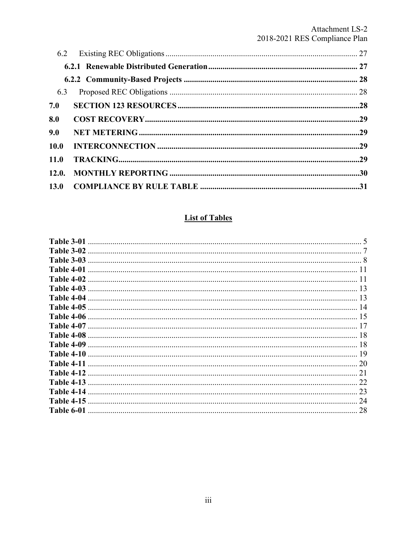## Attachment LS-2 2018-2021 RES Compliance Plan

# **List of Tables**

| Table 3-01        |    |
|-------------------|----|
| Table 3-02        |    |
| Table 3-03        |    |
| Table 4-01        |    |
| Table 4-02        |    |
| Table 4-03        | 13 |
| Table 4-04        | 13 |
| Table 4-05        | 14 |
| Table 4-06        | 15 |
| <b>Table 4-07</b> |    |
| Table 4-08        | 18 |
| Table 4-09        | 18 |
| Table 4-10        | 19 |
| <b>Table 4-11</b> | 20 |
| Table 4-12        | 21 |
| <b>Table 4-13</b> | 22 |
| Table 4-14        | 23 |
| <b>Table 4-15</b> | 24 |
| Table 6-01        | 28 |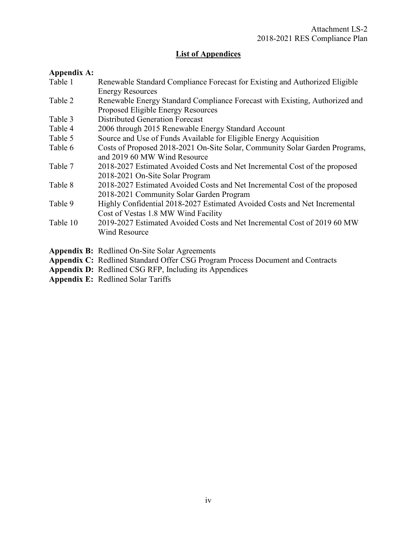## **List of Appendices**

## **Appendix A:**

| Table 1  | Renewable Standard Compliance Forecast for Existing and Authorized Eligible |
|----------|-----------------------------------------------------------------------------|
|          | <b>Energy Resources</b>                                                     |
| Table 2  | Renewable Energy Standard Compliance Forecast with Existing, Authorized and |
|          | Proposed Eligible Energy Resources                                          |
| Table 3  | <b>Distributed Generation Forecast</b>                                      |
| Table 4  | 2006 through 2015 Renewable Energy Standard Account                         |
| Table 5  | Source and Use of Funds Available for Eligible Energy Acquisition           |
| Table 6  | Costs of Proposed 2018-2021 On-Site Solar, Community Solar Garden Programs, |
|          | and 2019 60 MW Wind Resource                                                |
| Table 7  | 2018-2027 Estimated Avoided Costs and Net Incremental Cost of the proposed  |
|          | 2018-2021 On-Site Solar Program                                             |
| Table 8  | 2018-2027 Estimated Avoided Costs and Net Incremental Cost of the proposed  |
|          | 2018-2021 Community Solar Garden Program                                    |
| Table 9  | Highly Confidential 2018-2027 Estimated Avoided Costs and Net Incremental   |
|          | Cost of Vestas 1.8 MW Wind Facility                                         |
| Table 10 | 2019-2027 Estimated Avoided Costs and Net Incremental Cost of 2019 60 MW    |
|          | <b>Wind Resource</b>                                                        |
|          |                                                                             |
|          | <b>Appendix B:</b> Redlined On-Site Solar Agreements                        |

- **Appendix C:** Redlined Standard Offer CSG Program Process Document and Contracts
- **Appendix D:** Redlined CSG RFP, Including its Appendices
- **Appendix E:** Redlined Solar Tariffs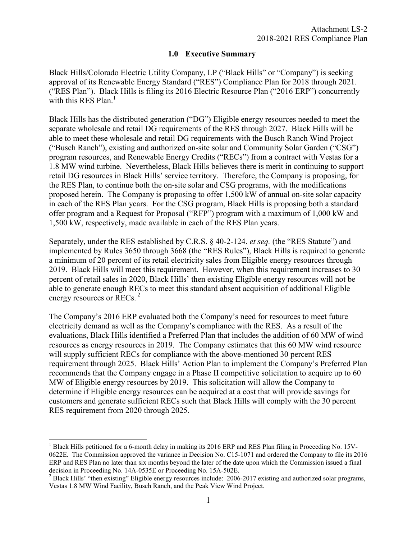## **1.0 Executive Summary**

<span id="page-4-0"></span>Black Hills/Colorado Electric Utility Company, LP ("Black Hills" or "Company") is seeking approval of its Renewable Energy Standard ("RES") Compliance Plan for 2018 through 2021. ("RES Plan"). Black Hills is filing its 2016 Electric Resource Plan ("2016 ERP") concurrently with this RES Plan. $<sup>1</sup>$ </sup>

Black Hills has the distributed generation ("DG") Eligible energy resources needed to meet the separate wholesale and retail DG requirements of the RES through 2027. Black Hills will be able to meet these wholesale and retail DG requirements with the Busch Ranch Wind Project ("Busch Ranch"), existing and authorized on-site solar and Community Solar Garden ("CSG") program resources, and Renewable Energy Credits ("RECs") from a contract with Vestas for a 1.8 MW wind turbine. Nevertheless, Black Hills believes there is merit in continuing to support retail DG resources in Black Hills' service territory. Therefore, the Company is proposing, for the RES Plan, to continue both the on-site solar and CSG programs, with the modifications proposed herein. The Company is proposing to offer 1,500 kW of annual on-site solar capacity in each of the RES Plan years. For the CSG program, Black Hills is proposing both a standard offer program and a Request for Proposal ("RFP") program with a maximum of 1,000 kW and 1,500 kW, respectively, made available in each of the RES Plan years.

Separately, under the RES established by C.R.S. § 40-2-124. *et seq.* (the "RES Statute") and implemented by Rules 3650 through 3668 (the "RES Rules"), Black Hills is required to generate a minimum of 20 percent of its retail electricity sales from Eligible energy resources through 2019. Black Hills will meet this requirement. However, when this requirement increases to 30 percent of retail sales in 2020, Black Hills' then existing Eligible energy resources will not be able to generate enough RECs to meet this standard absent acquisition of additional Eligible energy resources or RECs.<sup>2</sup>

The Company's 2016 ERP evaluated both the Company's need for resources to meet future electricity demand as well as the Company's compliance with the RES. As a result of the evaluations, Black Hills identified a Preferred Plan that includes the addition of 60 MW of wind resources as energy resources in 2019. The Company estimates that this 60 MW wind resource will supply sufficient RECs for compliance with the above-mentioned 30 percent RES requirement through 2025. Black Hills' Action Plan to implement the Company's Preferred Plan recommends that the Company engage in a Phase II competitive solicitation to acquire up to 60 MW of Eligible energy resources by 2019. This solicitation will allow the Company to determine if Eligible energy resources can be acquired at a cost that will provide savings for customers and generate sufficient RECs such that Black Hills will comply with the 30 percent RES requirement from 2020 through 2025.

 $\overline{a}$ 

<sup>&</sup>lt;sup>1</sup> Black Hills petitioned for a 6-month delay in making its 2016 ERP and RES Plan filing in Proceeding No. 15V-0622E. The Commission approved the variance in Decision No. C15-1071 and ordered the Company to file its 2016 ERP and RES Plan no later than six months beyond the later of the date upon which the Commission issued a final

decision in Proceeding No. 14A-0535E or Proceeding No. 15A-502E.<br><sup>2</sup> Black Hills' "then existing" Eligible energy resources include: 2006-2017 existing and authorized solar programs, Vestas 1.8 MW Wind Facility, Busch Ranch, and the Peak View Wind Project.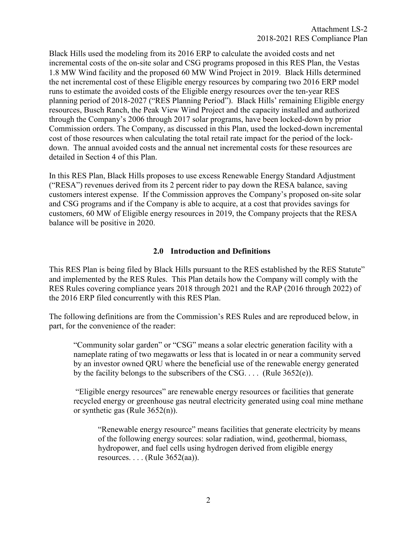<span id="page-5-0"></span>Black Hills used the modeling from its 2016 ERP to calculate the avoided costs and net incremental costs of the on-site solar and CSG programs proposed in this RES Plan, the Vestas 1.8 MW Wind facility and the proposed 60 MW Wind Project in 2019. Black Hills determined the net incremental cost of these Eligible energy resources by comparing two 2016 ERP model runs to estimate the avoided costs of the Eligible energy resources over the ten-year RES planning period of 2018-2027 ("RES Planning Period"). Black Hills' remaining Eligible energy resources, Busch Ranch, the Peak View Wind Project and the capacity installed and authorized through the Company's 2006 through 2017 solar programs, have been locked-down by prior Commission orders. The Company, as discussed in this Plan, used the locked-down incremental cost of those resources when calculating the total retail rate impact for the period of the lockdown. The annual avoided costs and the annual net incremental costs for these resources are detailed in Section 4 of this Plan.

In this RES Plan, Black Hills proposes to use excess Renewable Energy Standard Adjustment ("RESA") revenues derived from its 2 percent rider to pay down the RESA balance, saving customers interest expense. If the Commission approves the Company's proposed on-site solar and CSG programs and if the Company is able to acquire, at a cost that provides savings for customers, 60 MW of Eligible energy resources in 2019, the Company projects that the RESA balance will be positive in 2020.

## **2.0 Introduction and Definitions**

This RES Plan is being filed by Black Hills pursuant to the RES established by the RES Statute" and implemented by the RES Rules. This Plan details how the Company will comply with the RES Rules covering compliance years 2018 through 2021 and the RAP (2016 through 2022) of the 2016 ERP filed concurrently with this RES Plan.

The following definitions are from the Commission's RES Rules and are reproduced below, in part, for the convenience of the reader:

 "Community solar garden" or "CSG" means a solar electric generation facility with a nameplate rating of two megawatts or less that is located in or near a community served by an investor owned QRU where the beneficial use of the renewable energy generated by the facility belongs to the subscribers of the CSG.  $\ldots$  (Rule 3652(e)).

 "Eligible energy resources" are renewable energy resources or facilities that generate recycled energy or greenhouse gas neutral electricity generated using coal mine methane or synthetic gas (Rule 3652(n)).

"Renewable energy resource" means facilities that generate electricity by means of the following energy sources: solar radiation, wind, geothermal, biomass, hydropower, and fuel cells using hydrogen derived from eligible energy resources. . . . (Rule 3652(aa)).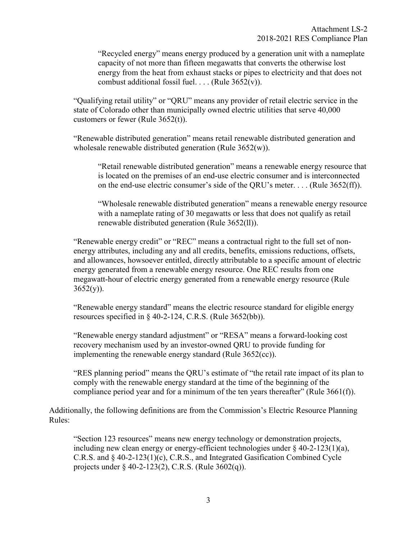"Recycled energy" means energy produced by a generation unit with a nameplate capacity of not more than fifteen megawatts that converts the otherwise lost energy from the heat from exhaust stacks or pipes to electricity and that does not combust additional fossil fuel.  $\ldots$  (Rule 3652(v)).

 "Qualifying retail utility" or "QRU" means any provider of retail electric service in the state of Colorado other than municipally owned electric utilities that serve 40,000 customers or fewer (Rule 3652(t)).

"Renewable distributed generation" means retail renewable distributed generation and wholesale renewable distributed generation (Rule 3652(w)).

"Retail renewable distributed generation" means a renewable energy resource that is located on the premises of an end-use electric consumer and is interconnected on the end-use electric consumer's side of the QRU's meter. . . . (Rule 3652(ff)).

"Wholesale renewable distributed generation" means a renewable energy resource with a nameplate rating of 30 megawatts or less that does not qualify as retail renewable distributed generation (Rule 3652(ll)).

 "Renewable energy credit" or "REC" means a contractual right to the full set of nonenergy attributes, including any and all credits, benefits, emissions reductions, offsets, and allowances, howsoever entitled, directly attributable to a specific amount of electric energy generated from a renewable energy resource. One REC results from one megawatt-hour of electric energy generated from a renewable energy resource (Rule  $3652(y)$ ).

"Renewable energy standard" means the electric resource standard for eligible energy resources specified in  $\S$  40-2-124, C.R.S. (Rule 3652(bb)).

"Renewable energy standard adjustment" or "RESA" means a forward-looking cost recovery mechanism used by an investor-owned QRU to provide funding for implementing the renewable energy standard (Rule 3652(cc)).

"RES planning period" means the QRU's estimate of "the retail rate impact of its plan to comply with the renewable energy standard at the time of the beginning of the compliance period year and for a minimum of the ten years thereafter" (Rule 3661(f)).

Additionally, the following definitions are from the Commission's Electric Resource Planning Rules:

"Section 123 resources" means new energy technology or demonstration projects, including new clean energy or energy-efficient technologies under § 40-2-123(1)(a), C.R.S. and § 40-2-123(1)(c), C.R.S., and Integrated Gasification Combined Cycle projects under § 40-2-123(2), C.R.S. (Rule 3602(q)).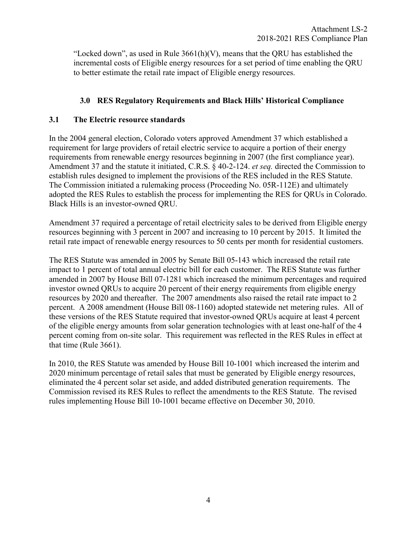<span id="page-7-0"></span>"Locked down", as used in Rule  $3661(h)(V)$ , means that the ORU has established the incremental costs of Eligible energy resources for a set period of time enabling the QRU to better estimate the retail rate impact of Eligible energy resources.

## **3.0 RES Regulatory Requirements and Black Hills' Historical Compliance**

## **3.1 The Electric resource standards**

In the 2004 general election, Colorado voters approved Amendment 37 which established a requirement for large providers of retail electric service to acquire a portion of their energy requirements from renewable energy resources beginning in 2007 (the first compliance year). Amendment 37 and the statute it initiated, C.R.S. § 40-2-124. *et seq.* directed the Commission to establish rules designed to implement the provisions of the RES included in the RES Statute. The Commission initiated a rulemaking process (Proceeding No. 05R-112E) and ultimately adopted the RES Rules to establish the process for implementing the RES for QRUs in Colorado. Black Hills is an investor-owned QRU.

Amendment 37 required a percentage of retail electricity sales to be derived from Eligible energy resources beginning with 3 percent in 2007 and increasing to 10 percent by 2015. It limited the retail rate impact of renewable energy resources to 50 cents per month for residential customers.

The RES Statute was amended in 2005 by Senate Bill 05-143 which increased the retail rate impact to 1 percent of total annual electric bill for each customer. The RES Statute was further amended in 2007 by House Bill 07-1281 which increased the minimum percentages and required investor owned QRUs to acquire 20 percent of their energy requirements from eligible energy resources by 2020 and thereafter. The 2007 amendments also raised the retail rate impact to 2 percent. A 2008 amendment (House Bill 08-1160) adopted statewide net metering rules. All of these versions of the RES Statute required that investor-owned QRUs acquire at least 4 percent of the eligible energy amounts from solar generation technologies with at least one-half of the 4 percent coming from on-site solar. This requirement was reflected in the RES Rules in effect at that time (Rule 3661).

In 2010, the RES Statute was amended by House Bill 10-1001 which increased the interim and 2020 minimum percentage of retail sales that must be generated by Eligible energy resources, eliminated the 4 percent solar set aside, and added distributed generation requirements. The Commission revised its RES Rules to reflect the amendments to the RES Statute. The revised rules implementing House Bill 10-1001 became effective on December 30, 2010.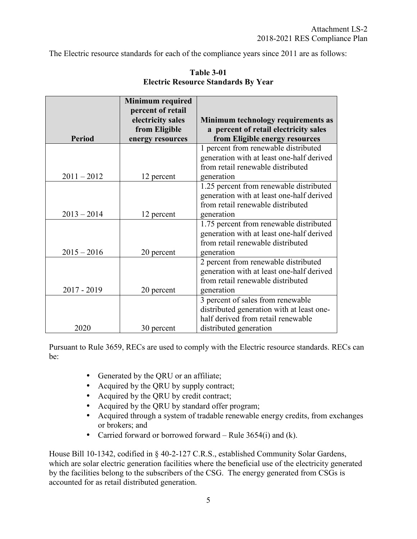The Electric resource standards for each of the compliance years since 2011 are as follows:

|               | <b>Minimum required</b> |                                           |
|---------------|-------------------------|-------------------------------------------|
|               | percent of retail       |                                           |
|               | electricity sales       | Minimum technology requirements as        |
|               | from Eligible           | a percent of retail electricity sales     |
| <b>Period</b> | energy resources        | from Eligible energy resources            |
|               |                         | 1 percent from renewable distributed      |
|               |                         | generation with at least one-half derived |
|               |                         | from retail renewable distributed         |
| $2011 - 2012$ | 12 percent              | generation                                |
|               |                         | 1.25 percent from renewable distributed   |
|               |                         | generation with at least one-half derived |
|               |                         | from retail renewable distributed         |
| $2013 - 2014$ | 12 percent              | generation                                |
|               |                         | 1.75 percent from renewable distributed   |
|               |                         | generation with at least one-half derived |
|               |                         | from retail renewable distributed         |
| $2015 - 2016$ | 20 percent              | generation                                |
|               |                         | 2 percent from renewable distributed      |
|               |                         | generation with at least one-half derived |
|               |                         | from retail renewable distributed         |
| 2017 - 2019   | 20 percent              | generation                                |
|               |                         | 3 percent of sales from renewable         |
|               |                         | distributed generation with at least one- |
|               |                         | half derived from retail renewable        |
| 2020          | 30 percent              | distributed generation                    |

**Table 3-01 Electric Resource Standards By Year** 

Pursuant to Rule 3659, RECs are used to comply with the Electric resource standards. RECs can be:

- Generated by the QRU or an affiliate;
- Acquired by the QRU by supply contract;
- Acquired by the QRU by credit contract;
- Acquired by the QRU by standard offer program;
- Acquired through a system of tradable renewable energy credits, from exchanges or brokers; and
- Carried forward or borrowed forward Rule  $3654(i)$  and (k).

House Bill 10-1342, codified in § 40-2-127 C.R.S., established Community Solar Gardens, which are solar electric generation facilities where the beneficial use of the electricity generated by the facilities belong to the subscribers of the CSG. The energy generated from CSGs is accounted for as retail distributed generation.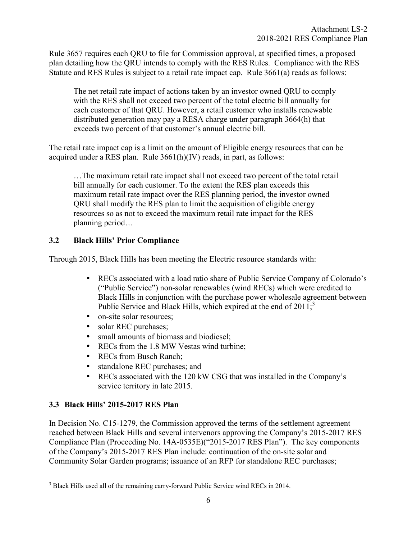<span id="page-9-0"></span>Rule 3657 requires each QRU to file for Commission approval, at specified times, a proposed plan detailing how the QRU intends to comply with the RES Rules. Compliance with the RES Statute and RES Rules is subject to a retail rate impact cap. Rule 3661(a) reads as follows:

The net retail rate impact of actions taken by an investor owned QRU to comply with the RES shall not exceed two percent of the total electric bill annually for each customer of that QRU. However, a retail customer who installs renewable distributed generation may pay a RESA charge under paragraph 3664(h) that exceeds two percent of that customer's annual electric bill.

The retail rate impact cap is a limit on the amount of Eligible energy resources that can be acquired under a RES plan. Rule 3661(h)(IV) reads, in part, as follows:

…The maximum retail rate impact shall not exceed two percent of the total retail bill annually for each customer. To the extent the RES plan exceeds this maximum retail rate impact over the RES planning period, the investor owned QRU shall modify the RES plan to limit the acquisition of eligible energy resources so as not to exceed the maximum retail rate impact for the RES planning period…

## **3.2 Black Hills' Prior Compliance**

Through 2015, Black Hills has been meeting the Electric resource standards with:

- RECs associated with a load ratio share of Public Service Company of Colorado's ("Public Service") non-solar renewables (wind RECs) which were credited to Black Hills in conjunction with the purchase power wholesale agreement between Public Service and Black Hills, which expired at the end of  $2011$ ;<sup>3</sup>
- on-site solar resources;
- solar REC purchases;
- small amounts of biomass and biodiesel;
- RECs from the 1.8 MW Vestas wind turbine;
- RECs from Busch Ranch;
- standalone REC purchases; and
- RECs associated with the 120 kW CSG that was installed in the Company's service territory in late 2015.

## **3.3 Black Hills' 2015-2017 RES Plan**

In Decision No. C15-1279, the Commission approved the terms of the settlement agreement reached between Black Hills and several intervenors approving the Company's 2015-2017 RES Compliance Plan (Proceeding No. 14A-0535E)("2015-2017 RES Plan"). The key components of the Company's 2015-2017 RES Plan include: continuation of the on-site solar and Community Solar Garden programs; issuance of an RFP for standalone REC purchases;

<sup>&</sup>lt;sup>3</sup> Black Hills used all of the remaining carry-forward Public Service wind RECs in 2014.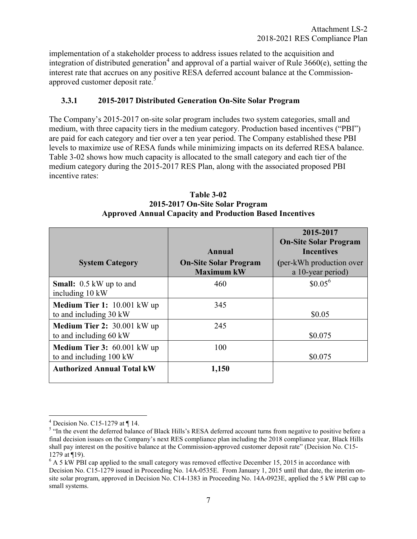<span id="page-10-0"></span>implementation of a stakeholder process to address issues related to the acquisition and integration of distributed generation<sup>4</sup> and approval of a partial waiver of Rule 3660(e), setting the interest rate that accrues on any positive RESA deferred account balance at the Commissionapproved customer deposit rate.<sup>5</sup>

## **3.3.1 2015-2017 Distributed Generation On-Site Solar Program**

The Company's 2015-2017 on-site solar program includes two system categories, small and medium, with three capacity tiers in the medium category. Production based incentives ("PBI") are paid for each category and tier over a ten year period. The Company established these PBI levels to maximize use of RESA funds while minimizing impacts on its deferred RESA balance. Table 3-02 shows how much capacity is allocated to the small category and each tier of the medium category during the 2015-2017 RES Plan, along with the associated proposed PBI incentive rates:

|                                                        |                                                   | 2015-2017<br><b>On-Site Solar Program</b>     |
|--------------------------------------------------------|---------------------------------------------------|-----------------------------------------------|
|                                                        | Annual                                            | <b>Incentives</b>                             |
| <b>System Category</b>                                 | <b>On-Site Solar Program</b><br><b>Maximum kW</b> | (per-kWh production over<br>a 10-year period) |
| <b>Small:</b> 0.5 kW up to and<br>including 10 kW      | 460                                               | $$0.05^6$                                     |
| Medium Tier 1: 10.001 kW up<br>to and including 30 kW  | 345                                               | \$0.05                                        |
| Medium Tier 2: 30.001 kW up<br>to and including 60 kW  | 245                                               | \$0.075                                       |
| Medium Tier 3: 60.001 kW up<br>to and including 100 kW | 100                                               | \$0.075                                       |
| <b>Authorized Annual Total kW</b>                      | 1,150                                             |                                               |

**Table 3-02 2015-2017 On-Site Solar Program Approved Annual Capacity and Production Based Incentives** 

 4 Decision No. C15-1279 at ¶ 14.

<sup>&</sup>lt;sup>5</sup> "In the event the deferred balance of Black Hills's RESA deferred account turns from negative to positive before a final decision issues on the Company's next RES compliance plan including the 2018 compliance year, Black Hills shall pay interest on the positive balance at the Commission-approved customer deposit rate" (Decision No. C15- 1279 at ¶19).

 $6$  A 5 kW PBI cap applied to the small category was removed effective December 15, 2015 in accordance with Decision No. C15-1279 issued in Proceeding No. 14A-0535E. From January 1, 2015 until that date, the interim onsite solar program, approved in Decision No. C14-1383 in Proceeding No. 14A-0923E, applied the 5 kW PBI cap to small systems.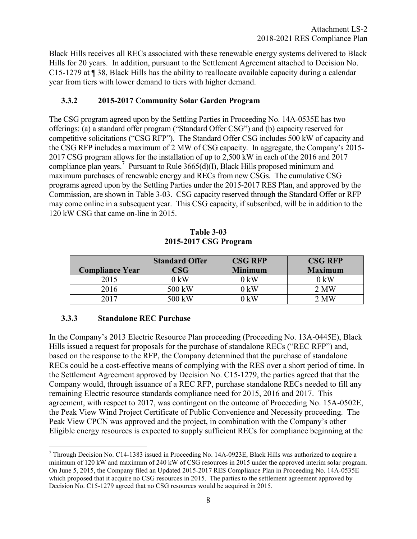<span id="page-11-0"></span>Black Hills receives all RECs associated with these renewable energy systems delivered to Black Hills for 20 years. In addition, pursuant to the Settlement Agreement attached to Decision No. C15-1279 at ¶ 38, Black Hills has the ability to reallocate available capacity during a calendar year from tiers with lower demand to tiers with higher demand.

## **3.3.2 2015-2017 Community Solar Garden Program**

The CSG program agreed upon by the Settling Parties in Proceeding No. 14A-0535E has two offerings: (a) a standard offer program ("Standard Offer CSG") and (b) capacity reserved for competitive solicitations ("CSG RFP"). The Standard Offer CSG includes 500 kW of capacity and the CSG RFP includes a maximum of 2 MW of CSG capacity. In aggregate, the Company's 2015- 2017 CSG program allows for the installation of up to 2,500 kW in each of the 2016 and 2017 compliance plan years.<sup>7</sup> Pursuant to Rule  $3665(d)(I)$ , Black Hills proposed minimum and maximum purchases of renewable energy and RECs from new CSGs. The cumulative CSG programs agreed upon by the Settling Parties under the 2015-2017 RES Plan, and approved by the Commission, are shown in Table 3-03. CSG capacity reserved through the Standard Offer or RFP may come online in a subsequent year. This CSG capacity, if subscribed, will be in addition to the 120 kW CSG that came on-line in 2015.

| <b>Compliance Year</b> | <b>Standard Offer</b><br>$\mathbb{C}\mathbf{SG}$ | <b>CSG RFP</b><br><b>Minimum</b> | <b>CSG RFP</b><br><b>Maximum</b> |
|------------------------|--------------------------------------------------|----------------------------------|----------------------------------|
| 2015                   | $0 \text{ kW}$                                   | $0 \text{ kW}$                   | $0 \text{ kW}$                   |
| 2016                   | 500 kW                                           | 0 kW                             | 2 MW                             |
| 2017                   | 500 kW                                           | ) kW                             | $2$ MW                           |

**Table 3-03 2015-2017 CSG Program** 

## **3.3.3 Standalone REC Purchase**

In the Company's 2013 Electric Resource Plan proceeding (Proceeding No. 13A-0445E), Black Hills issued a request for proposals for the purchase of standalone RECs ("REC RFP") and, based on the response to the RFP, the Company determined that the purchase of standalone RECs could be a cost-effective means of complying with the RES over a short period of time. In the Settlement Agreement approved by Decision No. C15-1279, the parties agreed that that the Company would, through issuance of a REC RFP, purchase standalone RECs needed to fill any remaining Electric resource standards compliance need for 2015, 2016 and 2017. This agreement, with respect to 2017, was contingent on the outcome of Proceeding No. 15A-0502E, the Peak View Wind Project Certificate of Public Convenience and Necessity proceeding. The Peak View CPCN was approved and the project, in combination with the Company's other Eligible energy resources is expected to supply sufficient RECs for compliance beginning at the

 7 Through Decision No. C14-1383 issued in Proceeding No. 14A-0923E, Black Hills was authorized to acquire a minimum of 120 kW and maximum of 240 kW of CSG resources in 2015 under the approved interim solar program. On June 5, 2015, the Company filed an Updated 2015-2017 RES Compliance Plan in Proceeding No. 14A-0535E which proposed that it acquire no CSG resources in 2015. The parties to the settlement agreement approved by Decision No. C15-1279 agreed that no CSG resources would be acquired in 2015.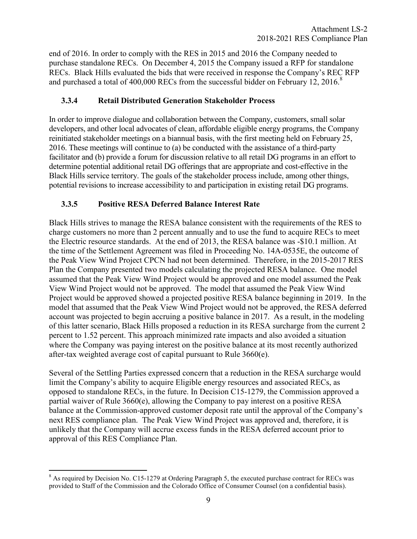<span id="page-12-0"></span>end of 2016. In order to comply with the RES in 2015 and 2016 the Company needed to purchase standalone RECs. On December 4, 2015 the Company issued a RFP for standalone RECs. Black Hills evaluated the bids that were received in response the Company's REC RFP and purchased a total of 400,000 RECs from the successful bidder on February 12, 2016.<sup>8</sup>

## **3.3.4 Retail Distributed Generation Stakeholder Process**

In order to improve dialogue and collaboration between the Company, customers, small solar developers, and other local advocates of clean, affordable eligible energy programs, the Company reinitiated stakeholder meetings on a biannual basis, with the first meeting held on February 25, 2016. These meetings will continue to (a) be conducted with the assistance of a third-party facilitator and (b) provide a forum for discussion relative to all retail DG programs in an effort to determine potential additional retail DG offerings that are appropriate and cost-effective in the Black Hills service territory. The goals of the stakeholder process include, among other things, potential revisions to increase accessibility to and participation in existing retail DG programs.

## **3.3.5 Positive RESA Deferred Balance Interest Rate**

Black Hills strives to manage the RESA balance consistent with the requirements of the RES to charge customers no more than 2 percent annually and to use the fund to acquire RECs to meet the Electric resource standards. At the end of 2013, the RESA balance was -\$10.1 million. At the time of the Settlement Agreement was filed in Proceeding No. 14A-0535E, the outcome of the Peak View Wind Project CPCN had not been determined. Therefore, in the 2015-2017 RES Plan the Company presented two models calculating the projected RESA balance. One model assumed that the Peak View Wind Project would be approved and one model assumed the Peak View Wind Project would not be approved. The model that assumed the Peak View Wind Project would be approved showed a projected positive RESA balance beginning in 2019. In the model that assumed that the Peak View Wind Project would not be approved, the RESA deferred account was projected to begin accruing a positive balance in 2017. As a result, in the modeling of this latter scenario, Black Hills proposed a reduction in its RESA surcharge from the current 2 percent to 1.52 percent. This approach minimized rate impacts and also avoided a situation where the Company was paying interest on the positive balance at its most recently authorized after-tax weighted average cost of capital pursuant to Rule 3660(e).

Several of the Settling Parties expressed concern that a reduction in the RESA surcharge would limit the Company's ability to acquire Eligible energy resources and associated RECs, as opposed to standalone RECs, in the future. In Decision C15-1279, the Commission approved a partial waiver of Rule 3660(e), allowing the Company to pay interest on a positive RESA balance at the Commission-approved customer deposit rate until the approval of the Company's next RES compliance plan. The Peak View Wind Project was approved and, therefore, it is unlikely that the Company will accrue excess funds in the RESA deferred account prior to approval of this RES Compliance Plan.

<sup>&</sup>lt;sup>8</sup> As required by Decision No. C15-1279 at Ordering Paragraph 5, the executed purchase contract for RECs was provided to Staff of the Commission and the Colorado Office of Consumer Counsel (on a confidential basis).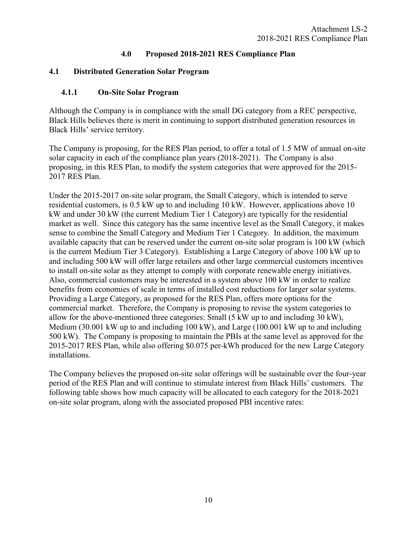## **4.0 Proposed 2018-2021 RES Compliance Plan**

## <span id="page-13-0"></span>**4.1 Distributed Generation Solar Program**

## **4.1.1 On-Site Solar Program**

Although the Company is in compliance with the small DG category from a REC perspective, Black Hills believes there is merit in continuing to support distributed generation resources in Black Hills' service territory.

The Company is proposing, for the RES Plan period, to offer a total of 1.5 MW of annual on-site solar capacity in each of the compliance plan years (2018-2021). The Company is also proposing, in this RES Plan, to modify the system categories that were approved for the 2015- 2017 RES Plan.

Under the 2015-2017 on-site solar program, the Small Category, which is intended to serve residential customers, is 0.5 kW up to and including 10 kW. However, applications above 10 kW and under 30 kW (the current Medium Tier 1 Category) are typically for the residential market as well. Since this category has the same incentive level as the Small Category, it makes sense to combine the Small Category and Medium Tier 1 Category. In addition, the maximum available capacity that can be reserved under the current on-site solar program is 100 kW (which is the current Medium Tier 3 Category). Establishing a Large Category of above 100 kW up to and including 500 kW will offer large retailers and other large commercial customers incentives to install on-site solar as they attempt to comply with corporate renewable energy initiatives. Also, commercial customers may be interested in a system above 100 kW in order to realize benefits from economies of scale in terms of installed cost reductions for larger solar systems. Providing a Large Category, as proposed for the RES Plan, offers more options for the commercial market. Therefore, the Company is proposing to revise the system categories to allow for the above-mentioned three categories: Small (5 kW up to and including 30 kW), Medium (30.001 kW up to and including 100 kW), and Large (100.001 kW up to and including 500 kW). The Company is proposing to maintain the PBIs at the same level as approved for the 2015-2017 RES Plan, while also offering \$0.075 per-kWh produced for the new Large Category installations.

The Company believes the proposed on-site solar offerings will be sustainable over the four-year period of the RES Plan and will continue to stimulate interest from Black Hills' customers. The following table shows how much capacity will be allocated to each category for the 2018-2021 on-site solar program, along with the associated proposed PBI incentive rates: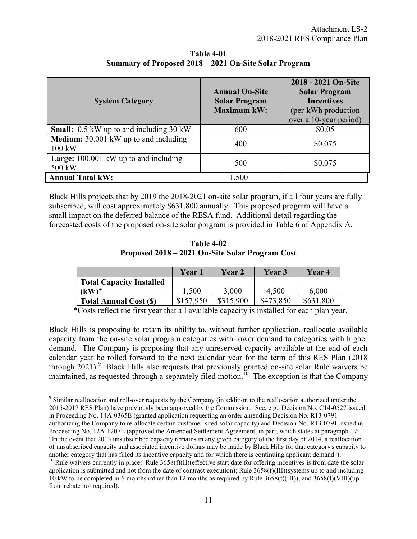| <b>System Category</b>                                   | <b>Annual On-Site</b><br><b>Solar Program</b><br><b>Maximum kW:</b> | 2018 - 2021 On-Site<br><b>Solar Program</b><br><b>Incentives</b><br>(per-kWh production)<br>over a 10-year period) |
|----------------------------------------------------------|---------------------------------------------------------------------|--------------------------------------------------------------------------------------------------------------------|
| <b>Small:</b> 0.5 kW up to and including 30 kW           | 600                                                                 | \$0.05                                                                                                             |
| <b>Medium:</b> 30.001 kW up to and including<br>100 kW   | 400                                                                 | \$0.075                                                                                                            |
| <b>Large:</b> $100.001$ kW up to and including<br>500 kW | 500                                                                 | \$0.075                                                                                                            |
| <b>Annual Total kW:</b>                                  | 1,500                                                               |                                                                                                                    |

**Table 4-01 Summary of Proposed 2018 – 2021 On-Site Solar Program** 

Black Hills projects that by 2019 the 2018-2021 on-site solar program, if all four years are fully subscribed, will cost approximately \$631,800 annually. This proposed program will have a small impact on the deferred balance of the RESA fund. Additional detail regarding the forecasted costs of the proposed on-site solar program is provided in Table 6 of Appendix A.

**Table 4-02 Proposed 2018 – 2021 On-Site Solar Program Cost** 

|                                 | Year 1    | Year 2    | Year 3    | Year 4    |
|---------------------------------|-----------|-----------|-----------|-----------|
| <b>Total Capacity Installed</b> |           |           |           |           |
| $(kW)^*$                        | 1,500     | 3,000     | 4,500     | 6,000     |
| <b>Total Annual Cost (\$)</b>   | \$157.950 | \$315,900 | \$473,850 | \$631,800 |

\*Costs reflect the first year that all available capacity is installed for each plan year.

Black Hills is proposing to retain its ability to, without further application, reallocate available capacity from the on-site solar program categories with lower demand to categories with higher demand. The Company is proposing that any unreserved capacity available at the end of each calendar year be rolled forward to the next calendar year for the term of this RES Plan (2018 through  $2021$ .<sup>9</sup> Black Hills also requests that previously granted on-site solar Rule waivers be maintained, as requested through a separately filed motion.<sup>10</sup> The exception is that the Company

 $\overline{a}$ <sup>9</sup> Similar reallocation and roll-over requests by the Company (in addition to the reallocation authorized under the 2015-2017 RES Plan) have previously been approved by the Commission. See, e.g., Decision No. C14-0527 issued in Proceeding No. 14A-0365E (granted application requesting an order amending Decision No. R13-0791 authorizing the Company to re-allocate certain customer-sited solar capacity) and Decision No. R13-0791 issued in Proceeding No. 12A-1207E (approved the Amended Settlement Agreement, in part, which states at paragraph 17:

<sup>&</sup>quot;In the event that 2013 unsubscribed capacity remains in any given category of the first day of 2014, a reallocation of unsubscribed capacity and associated incentive dollars may be made by Black Hills for that category's capacity to another category that has filled its incentive capacity and for which there is continuing applicant demand").

<sup>&</sup>lt;sup>10</sup> Rule waivers currently in place: Rule  $3658(f)(II)(effective start date for offering incentives is from date the solar$ application is submitted and not from the date of contract execution); Rule  $3658(f)(III)(s$ ystems up to and including 10 kW to be completed in 6 months rather than 12 months as required by Rule  $3658(f)(III)$ ; and  $3658(f)(VIII)(up$ front rebate not required).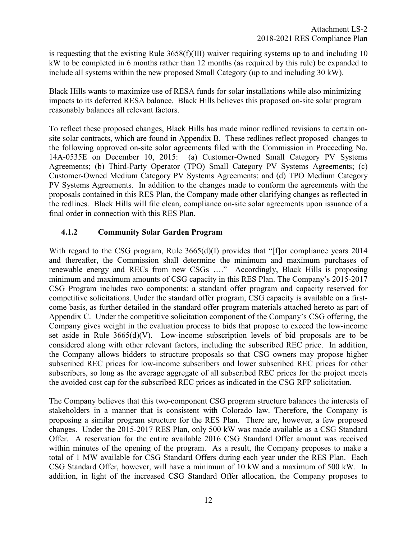<span id="page-15-0"></span>is requesting that the existing Rule  $3658(f)(III)$  waiver requiring systems up to and including 10 kW to be completed in 6 months rather than 12 months (as required by this rule) be expanded to include all systems within the new proposed Small Category (up to and including 30 kW).

Black Hills wants to maximize use of RESA funds for solar installations while also minimizing impacts to its deferred RESA balance. Black Hills believes this proposed on-site solar program reasonably balances all relevant factors.

To reflect these proposed changes, Black Hills has made minor redlined revisions to certain onsite solar contracts, which are found in Appendix B. These redlines reflect proposed changes to the following approved on-site solar agreements filed with the Commission in Proceeding No. 14A-0535E on December 10, 2015: (a) Customer-Owned Small Category PV Systems Agreements; (b) Third-Party Operator (TPO) Small Category PV Systems Agreements; (c) Customer-Owned Medium Category PV Systems Agreements; and (d) TPO Medium Category PV Systems Agreements. In addition to the changes made to conform the agreements with the proposals contained in this RES Plan, the Company made other clarifying changes as reflected in the redlines. Black Hills will file clean, compliance on-site solar agreements upon issuance of a final order in connection with this RES Plan.

## **4.1.2 Community Solar Garden Program**

With regard to the CSG program, Rule 3665(d)(I) provides that "[f]or compliance years 2014 and thereafter, the Commission shall determine the minimum and maximum purchases of renewable energy and RECs from new CSGs ...." Accordingly, Black Hills is proposing minimum and maximum amounts of CSG capacity in this RES Plan. The Company's 2015-2017 CSG Program includes two components: a standard offer program and capacity reserved for competitive solicitations. Under the standard offer program, CSG capacity is available on a firstcome basis, as further detailed in the standard offer program materials attached hereto as part of Appendix C. Under the competitive solicitation component of the Company's CSG offering, the Company gives weight in the evaluation process to bids that propose to exceed the low-income set aside in Rule  $3665(d)(V)$ . Low-income subscription levels of bid proposals are to be considered along with other relevant factors, including the subscribed REC price. In addition, the Company allows bidders to structure proposals so that CSG owners may propose higher subscribed REC prices for low-income subscribers and lower subscribed REC prices for other subscribers, so long as the average aggregate of all subscribed REC prices for the project meets the avoided cost cap for the subscribed REC prices as indicated in the CSG RFP solicitation.

The Company believes that this two-component CSG program structure balances the interests of stakeholders in a manner that is consistent with Colorado law. Therefore, the Company is proposing a similar program structure for the RES Plan. There are, however, a few proposed changes. Under the 2015-2017 RES Plan, only 500 kW was made available as a CSG Standard Offer. A reservation for the entire available 2016 CSG Standard Offer amount was received within minutes of the opening of the program. As a result, the Company proposes to make a total of 1 MW available for CSG Standard Offers during each year under the RES Plan. Each CSG Standard Offer, however, will have a minimum of 10 kW and a maximum of 500 kW. In addition, in light of the increased CSG Standard Offer allocation, the Company proposes to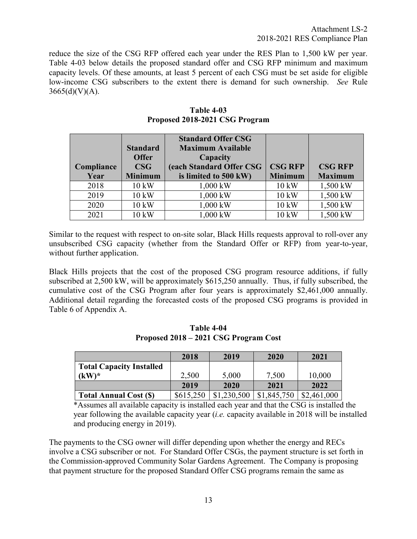reduce the size of the CSG RFP offered each year under the RES Plan to 1,500 kW per year. Table 4-03 below details the proposed standard offer and CSG RFP minimum and maximum capacity levels. Of these amounts, at least 5 percent of each CSG must be set aside for eligible low-income CSG subscribers to the extent there is demand for such ownership. *See* Rule  $3665(d)(V)(A)$ .

|            |                 | <b>Standard Offer CSG</b> |                 |                |
|------------|-----------------|---------------------------|-----------------|----------------|
|            | <b>Standard</b> | <b>Maximum Available</b>  |                 |                |
|            | <b>Offer</b>    | Capacity                  |                 |                |
| Compliance | $\mathbf{CSG}$  | (each Standard Offer CSG  | <b>CSG RFP</b>  | <b>CSG RFP</b> |
| Year       | <b>Minimum</b>  | is limited to 500 kW)     | <b>Minimum</b>  | <b>Maximum</b> |
| 2018       | $10 \text{ kW}$ | 1,000 kW                  | $10 \text{ kW}$ | 1,500 kW       |
| 2019       | $10 \text{ kW}$ | 1,000 kW                  | $10 \text{ kW}$ | 1,500 kW       |
| 2020       | 10 kW           | 1,000 kW                  | 10 kW           | 1,500 kW       |
| 2021       | 10 kW           | 1,000 kW                  | 10 kW           | 1,500 kW       |

**Table 4-03 Proposed 2018-2021 CSG Program** 

Similar to the request with respect to on-site solar, Black Hills requests approval to roll-over any unsubscribed CSG capacity (whether from the Standard Offer or RFP) from year-to-year, without further application.

Black Hills projects that the cost of the proposed CSG program resource additions, if fully subscribed at 2,500 kW, will be approximately \$615,250 annually. Thus, if fully subscribed, the cumulative cost of the CSG Program after four years is approximately \$2,461,000 annually. Additional detail regarding the forecasted costs of the proposed CSG programs is provided in Table 6 of Appendix A.

|                                 | 2018      | 2019        | 2020        | 2021        |
|---------------------------------|-----------|-------------|-------------|-------------|
| <b>Total Capacity Installed</b> |           |             |             |             |
| $(kW)^*$                        | 2,500     | 5,000       | 7,500       | 10,000      |
|                                 | 2019      | 2020        | 2021        | 2022        |
| <b>Total Annual Cost (\$)</b>   | \$615,250 | \$1,230,500 | \$1,845,750 | \$2,461,000 |

**Table 4-04 Proposed 2018 – 2021 CSG Program Cost** 

\*Assumes all available capacity is installed each year and that the CSG is installed the year following the available capacity year (*i.e.* capacity available in 2018 will be installed and producing energy in 2019).

The payments to the CSG owner will differ depending upon whether the energy and RECs involve a CSG subscriber or not. For Standard Offer CSGs, the payment structure is set forth in the Commission-approved Community Solar Gardens Agreement. The Company is proposing that payment structure for the proposed Standard Offer CSG programs remain the same as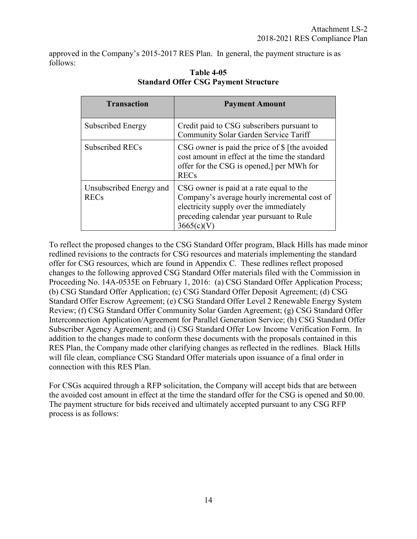approved in the Company's 2015-2017 RES Plan. In general, the payment structure is as follows:

| <b>Transaction</b>                     | <b>Payment Amount</b>                                                                                                                                                                      |
|----------------------------------------|--------------------------------------------------------------------------------------------------------------------------------------------------------------------------------------------|
| Subscribed Energy                      | Credit paid to CSG subscribers pursuant to<br>Community Solar Garden Service Tariff                                                                                                        |
| Subscribed RECs                        | CSG owner is paid the price of \$ [the avoided<br>cost amount in effect at the time the standard<br>offer for the CSG is opened, per MWh for<br><b>RECs</b>                                |
| Unsubscribed Energy and<br><b>RECs</b> | CSG owner is paid at a rate equal to the<br>Company's average hourly incremental cost of<br>electricity supply over the immediately<br>preceding calendar year pursuant to Rule<br>3665(c) |

## **Table 4-05 Standard Offer CSG Payment Structure**

To reflect the proposed changes to the CSG Standard Offer program, Black Hills has made minor redlined revisions to the contracts for CSG resources and materials implementing the standard offer for CSG resources, which are found in Appendix C. These redlines reflect proposed changes to the following approved CSG Standard Offer materials filed with the Commission in Proceeding No. 14A-0535E on February 1, 2016: (a) CSG Standard Offer Application Process; (b) CSG Standard Offer Application; (c) CSG Standard Offer Deposit Agreement; (d) CSG Standard Offer Escrow Agreement; (e) CSG Standard Offer Level 2 Renewable Energy System Review; (f) CSG Standard Offer Community Solar Garden Agreement; (g) CSG Standard Offer Interconnection Application/Agreement for Parallel Generation Service; (h) CSG Standard Offer Subscriber Agency Agreement; and (i) CSG Standard Offer Low Income Verification Form. In addition to the changes made to conform these documents with the proposals contained in this RES Plan, the Company made other clarifying changes as reflected in the redlines. Black Hills will file clean, compliance CSG Standard Offer materials upon issuance of a final order in connection with this RES Plan.

For CSGs acquired through a RFP solicitation, the Company will accept bids that are between the avoided cost amount in effect at the time the standard offer for the CSG is opened and \$0.00. The payment structure for bids received and ultimately accepted pursuant to any CSG RFP process is as follows: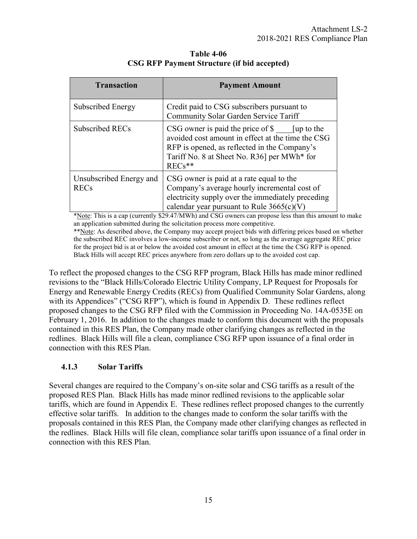<span id="page-18-0"></span>

| <b>Transaction</b>                     | <b>Payment Amount</b>                                                                                                                                                                                                                      |  |
|----------------------------------------|--------------------------------------------------------------------------------------------------------------------------------------------------------------------------------------------------------------------------------------------|--|
| Subscribed Energy                      | Credit paid to CSG subscribers pursuant to<br>Community Solar Garden Service Tariff                                                                                                                                                        |  |
| Subscribed RECs                        | $\text{CSG}$ owner is paid the price of $\text{\$}$ [up to the<br>avoided cost amount in effect at the time the CSG<br>RFP is opened, as reflected in the Company's<br>Tariff No. 8 at Sheet No. R36] per MWh <sup>*</sup> for<br>$RECs**$ |  |
| Unsubscribed Energy and<br><b>RECs</b> | CSG owner is paid at a rate equal to the<br>Company's average hourly incremental cost of<br>electricity supply over the immediately preceding<br>calendar year pursuant to Rule $3665(c)(V)$                                               |  |

**Table 4-06 CSG RFP Payment Structure (if bid accepted)** 

\*Note: This is a cap (currently \$29.47/MWh) and CSG owners can propose less than this amount to make an application submitted during the solicitation process more competitive. \*\*Note: As described above, the Company may accept project bids with differing prices based on whether the subscribed REC involves a low-income subscriber or not, so long as the average aggregate REC price for the project bid is at or below the avoided cost amount in effect at the time the CSG RFP is opened.

Black Hills will accept REC prices anywhere from zero dollars up to the avoided cost cap.

To reflect the proposed changes to the CSG RFP program, Black Hills has made minor redlined revisions to the "Black Hills/Colorado Electric Utility Company, LP Request for Proposals for Energy and Renewable Energy Credits (RECs) from Qualified Community Solar Gardens, along with its Appendices" ("CSG RFP"), which is found in Appendix D. These redlines reflect proposed changes to the CSG RFP filed with the Commission in Proceeding No. 14A-0535E on February 1, 2016. In addition to the changes made to conform this document with the proposals contained in this RES Plan, the Company made other clarifying changes as reflected in the redlines. Black Hills will file a clean, compliance CSG RFP upon issuance of a final order in connection with this RES Plan.

## **4.1.3 Solar Tariffs**

Several changes are required to the Company's on-site solar and CSG tariffs as a result of the proposed RES Plan. Black Hills has made minor redlined revisions to the applicable solar tariffs, which are found in Appendix E. These redlines reflect proposed changes to the currently effective solar tariffs. In addition to the changes made to conform the solar tariffs with the proposals contained in this RES Plan, the Company made other clarifying changes as reflected in the redlines. Black Hills will file clean, compliance solar tariffs upon issuance of a final order in connection with this RES Plan.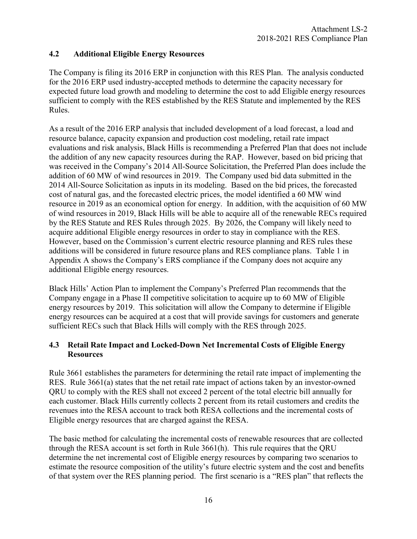## <span id="page-19-0"></span>**4.2 Additional Eligible Energy Resources**

The Company is filing its 2016 ERP in conjunction with this RES Plan. The analysis conducted for the 2016 ERP used industry-accepted methods to determine the capacity necessary for expected future load growth and modeling to determine the cost to add Eligible energy resources sufficient to comply with the RES established by the RES Statute and implemented by the RES Rules.

As a result of the 2016 ERP analysis that included development of a load forecast, a load and resource balance, capacity expansion and production cost modeling, retail rate impact evaluations and risk analysis, Black Hills is recommending a Preferred Plan that does not include the addition of any new capacity resources during the RAP. However, based on bid pricing that was received in the Company's 2014 All-Source Solicitation, the Preferred Plan does include the addition of 60 MW of wind resources in 2019. The Company used bid data submitted in the 2014 All-Source Solicitation as inputs in its modeling. Based on the bid prices, the forecasted cost of natural gas, and the forecasted electric prices, the model identified a 60 MW wind resource in 2019 as an economical option for energy. In addition, with the acquisition of 60 MW of wind resources in 2019, Black Hills will be able to acquire all of the renewable RECs required by the RES Statute and RES Rules through 2025. By 2026, the Company will likely need to acquire additional Eligible energy resources in order to stay in compliance with the RES. However, based on the Commission's current electric resource planning and RES rules these additions will be considered in future resource plans and RES compliance plans. Table 1 in Appendix A shows the Company's ERS compliance if the Company does not acquire any additional Eligible energy resources.

Black Hills' Action Plan to implement the Company's Preferred Plan recommends that the Company engage in a Phase II competitive solicitation to acquire up to 60 MW of Eligible energy resources by 2019. This solicitation will allow the Company to determine if Eligible energy resources can be acquired at a cost that will provide savings for customers and generate sufficient RECs such that Black Hills will comply with the RES through 2025.

## **4.3 Retail Rate Impact and Locked-Down Net Incremental Costs of Eligible Energy Resources**

Rule 3661 establishes the parameters for determining the retail rate impact of implementing the RES. Rule 3661(a) states that the net retail rate impact of actions taken by an investor-owned QRU to comply with the RES shall not exceed 2 percent of the total electric bill annually for each customer. Black Hills currently collects 2 percent from its retail customers and credits the revenues into the RESA account to track both RESA collections and the incremental costs of Eligible energy resources that are charged against the RESA.

The basic method for calculating the incremental costs of renewable resources that are collected through the RESA account is set forth in Rule 3661(h). This rule requires that the QRU determine the net incremental cost of Eligible energy resources by comparing two scenarios to estimate the resource composition of the utility's future electric system and the cost and benefits of that system over the RES planning period. The first scenario is a "RES plan" that reflects the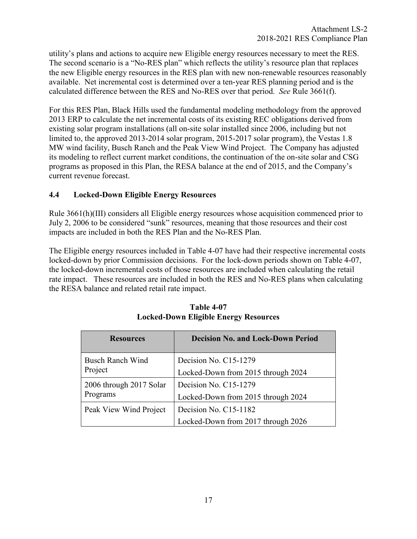<span id="page-20-0"></span>utility's plans and actions to acquire new Eligible energy resources necessary to meet the RES. The second scenario is a "No-RES plan" which reflects the utility's resource plan that replaces the new Eligible energy resources in the RES plan with new non-renewable resources reasonably available. Net incremental cost is determined over a ten-year RES planning period and is the calculated difference between the RES and No-RES over that period. *See* Rule 3661(f).

For this RES Plan, Black Hills used the fundamental modeling methodology from the approved 2013 ERP to calculate the net incremental costs of its existing REC obligations derived from existing solar program installations (all on-site solar installed since 2006, including but not limited to, the approved 2013-2014 solar program, 2015-2017 solar program), the Vestas 1.8 MW wind facility, Busch Ranch and the Peak View Wind Project. The Company has adjusted its modeling to reflect current market conditions, the continuation of the on-site solar and CSG programs as proposed in this Plan, the RESA balance at the end of 2015, and the Company's current revenue forecast.

## **4.4 Locked-Down Eligible Energy Resources**

Rule 3661(h)(III) considers all Eligible energy resources whose acquisition commenced prior to July 2, 2006 to be considered "sunk" resources, meaning that those resources and their cost impacts are included in both the RES Plan and the No-RES Plan.

The Eligible energy resources included in Table 4-07 have had their respective incremental costs locked-down by prior Commission decisions. For the lock-down periods shown on Table 4-07, the locked-down incremental costs of those resources are included when calculating the retail rate impact. These resources are included in both the RES and No-RES plans when calculating the RESA balance and related retail rate impact.

| <b>Resources</b>        | <b>Decision No. and Lock-Down Period</b> |  |
|-------------------------|------------------------------------------|--|
| <b>Busch Ranch Wind</b> | Decision No. C15-1279                    |  |
| Project                 | Locked-Down from 2015 through 2024       |  |
| 2006 through 2017 Solar | Decision No. C15-1279                    |  |
| Programs                | Locked-Down from 2015 through 2024       |  |
| Peak View Wind Project  | Decision No. C15-1182                    |  |
|                         | Locked-Down from 2017 through 2026       |  |

## **Table 4-07 Locked-Down Eligible Energy Resources**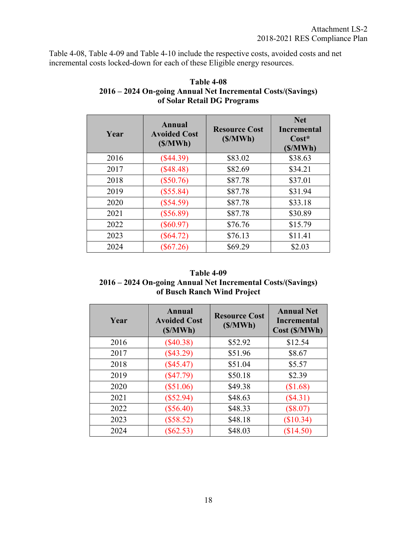Table 4-08, Table 4-09 and Table 4-10 include the respective costs, avoided costs and net incremental costs locked-down for each of these Eligible energy resources.

| Year | <b>Annual</b><br><b>Avoided Cost</b><br>(S/MWh) | <b>Resource Cost</b><br>(S/MWh) | <b>Net</b><br><b>Incremental</b><br>$Cost*$<br>(S/MWh) |
|------|-------------------------------------------------|---------------------------------|--------------------------------------------------------|
| 2016 | $(\$44.39)$                                     | \$83.02                         | \$38.63                                                |
| 2017 | (\$48.48)                                       | \$82.69                         | \$34.21                                                |
| 2018 | $(\$50.76)$                                     | \$87.78                         | \$37.01                                                |
| 2019 | $(\$55.84)$                                     | \$87.78                         | \$31.94                                                |
| 2020 | (\$54.59)                                       | \$87.78                         | \$33.18                                                |
| 2021 | $(\$56.89)$                                     | \$87.78                         | \$30.89                                                |
| 2022 | $(\$60.97)$                                     | \$76.76                         | \$15.79                                                |
| 2023 | $(\$64.72)$                                     | \$76.13                         | \$11.41                                                |
| 2024 | $(\$67.26)$                                     | \$69.29                         | \$2.03                                                 |

## **Table 4-08 2016 – 2024 On-going Annual Net Incremental Costs/(Savings) of Solar Retail DG Programs**

## **Table 4-09 2016 – 2024 On-going Annual Net Incremental Costs/(Savings) of Busch Ranch Wind Project**

| Year | Annual<br><b>Avoided Cost</b><br>(S/MWh) | <b>Resource Cost</b><br>(S/MWh) | <b>Annual Net</b><br><b>Incremental</b><br>Cost (\$/MWh) |
|------|------------------------------------------|---------------------------------|----------------------------------------------------------|
| 2016 | $(\$40.38)$                              | \$52.92                         | \$12.54                                                  |
| 2017 | $(\$43.29)$                              | \$51.96                         | \$8.67                                                   |
| 2018 | $(\$45.47)$                              | \$51.04                         | \$5.57                                                   |
| 2019 | $(\$47.79)$                              | \$50.18                         | \$2.39                                                   |
| 2020 | $(\$51.06)$                              | \$49.38                         | \$1.68                                                   |
| 2021 | $(\$52.94)$                              | \$48.63                         | $(\$4.31)$                                               |
| 2022 | $(\$56.40)$                              | \$48.33                         | (\$8.07)                                                 |
| 2023 | (\$58.52)                                | \$48.18                         | (\$10.34)                                                |
| 2024 | $(\$62.53)$                              | \$48.03                         | (\$14.50)                                                |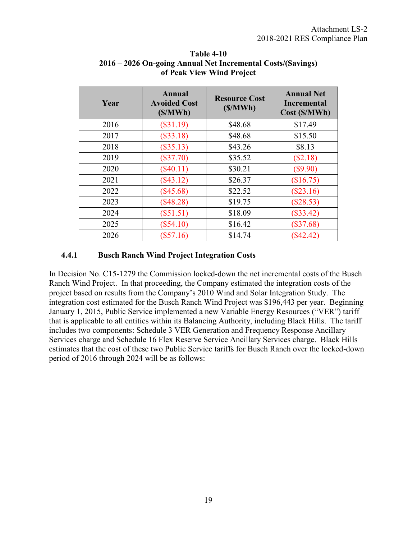| Year | Annual<br><b>Resource Cost</b><br><b>Avoided Cost</b><br>(S/MWh)<br>(S/MWh) |         | <b>Annual Net</b><br><b>Incremental</b><br>Cost (\$/MWh) |
|------|-----------------------------------------------------------------------------|---------|----------------------------------------------------------|
| 2016 | $(\$31.19)$                                                                 | \$48.68 | \$17.49                                                  |
| 2017 | $(\$33.18)$                                                                 | \$48.68 | \$15.50                                                  |
| 2018 | $(\$35.13)$                                                                 | \$43.26 | \$8.13                                                   |
| 2019 | $(\$37.70)$                                                                 | \$35.52 | (\$2.18)                                                 |
| 2020 | $(\$40.11)$                                                                 | \$30.21 | $(\$9.90)$                                               |
| 2021 | $(\$43.12)$                                                                 | \$26.37 | (\$16.75)                                                |
| 2022 | $(\$45.68)$                                                                 | \$22.52 | $(\$23.16)$                                              |
| 2023 | $(\$48.28)$                                                                 | \$19.75 | $(\$28.53)$                                              |
| 2024 | (\$51.51)                                                                   | \$18.09 | $(\$33.42)$                                              |
| 2025 | $(\$54.10)$                                                                 | \$16.42 | $(\$37.68)$                                              |
| 2026 | $(\$57.16)$                                                                 | \$14.74 | $(\$42.42)$                                              |

<span id="page-22-0"></span>**Table 4-10 2016 – 2026 On-going Annual Net Incremental Costs/(Savings) of Peak View Wind Project** 

#### **4.4.1 Busch Ranch Wind Project Integration Costs**

In Decision No. C15-1279 the Commission locked-down the net incremental costs of the Busch Ranch Wind Project. In that proceeding, the Company estimated the integration costs of the project based on results from the Company's 2010 Wind and Solar Integration Study. The integration cost estimated for the Busch Ranch Wind Project was \$196,443 per year. Beginning January 1, 2015, Public Service implemented a new Variable Energy Resources ("VER") tariff that is applicable to all entities within its Balancing Authority, including Black Hills. The tariff includes two components: Schedule 3 VER Generation and Frequency Response Ancillary Services charge and Schedule 16 Flex Reserve Service Ancillary Services charge. Black Hills estimates that the cost of these two Public Service tariffs for Busch Ranch over the locked-down period of 2016 through 2024 will be as follows: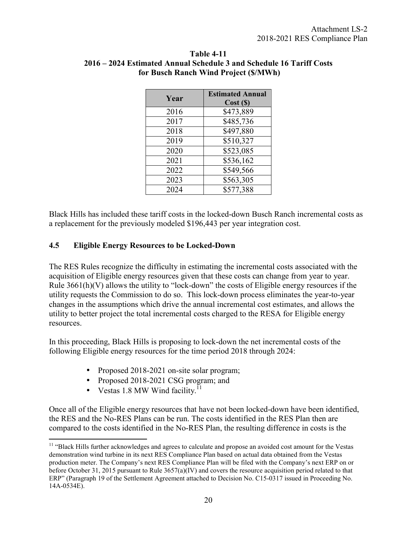| Year | <b>Estimated Annual</b><br>Cost(S) |
|------|------------------------------------|
| 2016 | \$473,889                          |
| 2017 | \$485,736                          |
| 2018 | \$497,880                          |
| 2019 | \$510,327                          |
| 2020 | \$523,085                          |
| 2021 | \$536,162                          |
| 2022 | \$549,566                          |
| 2023 | \$563,305                          |
| 2024 | \$577,388                          |

#### <span id="page-23-0"></span>**Table 4-11 2016 – 2024 Estimated Annual Schedule 3 and Schedule 16 Tariff Costs for Busch Ranch Wind Project (\$/MWh)**

Black Hills has included these tariff costs in the locked-down Busch Ranch incremental costs as a replacement for the previously modeled \$196,443 per year integration cost.

## **4.5 Eligible Energy Resources to be Locked-Down**

The RES Rules recognize the difficulty in estimating the incremental costs associated with the acquisition of Eligible energy resources given that these costs can change from year to year. Rule 3661(h)(V) allows the utility to "lock-down" the costs of Eligible energy resources if the utility requests the Commission to do so. This lock-down process eliminates the year-to-year changes in the assumptions which drive the annual incremental cost estimates, and allows the utility to better project the total incremental costs charged to the RESA for Eligible energy resources.

In this proceeding, Black Hills is proposing to lock-down the net incremental costs of the following Eligible energy resources for the time period 2018 through 2024:

- Proposed 2018-2021 on-site solar program;
- Proposed 2018-2021 CSG program; and
- Vestas 1.8 MW Wind facility.<sup> $11$ </sup>

 $\overline{a}$ 

Once all of the Eligible energy resources that have not been locked-down have been identified, the RES and the No-RES Plans can be run. The costs identified in the RES Plan then are compared to the costs identified in the No-RES Plan, the resulting difference in costs is the

<sup>&</sup>lt;sup>11</sup> "Black Hills further acknowledges and agrees to calculate and propose an avoided cost amount for the Vestas demonstration wind turbine in its next RES Compliance Plan based on actual data obtained from the Vestas production meter. The Company's next RES Compliance Plan will be filed with the Company's next ERP on or before October 31, 2015 pursuant to Rule 3657(a)(IV) and covers the resource acquisition period related to that ERP" (Paragraph 19 of the Settlement Agreement attached to Decision No. C15-0317 issued in Proceeding No. 14A-0534E).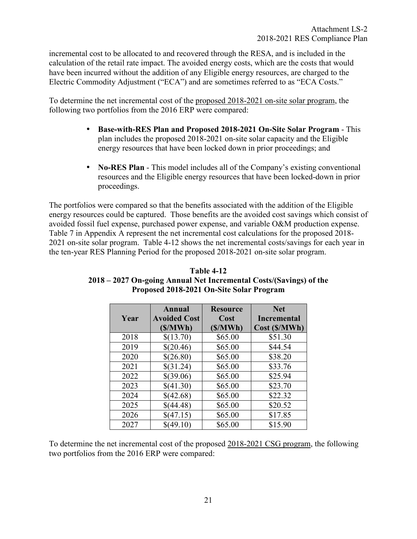incremental cost to be allocated to and recovered through the RESA, and is included in the calculation of the retail rate impact. The avoided energy costs, which are the costs that would have been incurred without the addition of any Eligible energy resources, are charged to the Electric Commodity Adjustment ("ECA") and are sometimes referred to as "ECA Costs."

To determine the net incremental cost of the proposed 2018-2021 on-site solar program, the following two portfolios from the 2016 ERP were compared:

- **Base-with-RES Plan and Proposed 2018-2021 On-Site Solar Program**  This plan includes the proposed 2018-2021 on-site solar capacity and the Eligible energy resources that have been locked down in prior proceedings; and
- **No-RES Plan** This model includes all of the Company's existing conventional resources and the Eligible energy resources that have been locked-down in prior proceedings.

The portfolios were compared so that the benefits associated with the addition of the Eligible energy resources could be captured. Those benefits are the avoided cost savings which consist of avoided fossil fuel expense, purchased power expense, and variable O&M production expense. Table 7 in Appendix A represent the net incremental cost calculations for the proposed 2018- 2021 on-site solar program. Table 4-12 shows the net incremental costs/savings for each year in the ten-year RES Planning Period for the proposed 2018-2021 on-site solar program.

|      | Annual              | <b>Resource</b> | <b>Net</b>         |
|------|---------------------|-----------------|--------------------|
| Year | <b>Avoided Cost</b> | Cost            | <b>Incremental</b> |
|      | (S/MWh)             | (S/MWh)         | Cost (\$/MWh)      |
| 2018 | \$(13.70)           | \$65.00         | \$51.30            |
| 2019 | \$(20.46)           | \$65.00         | \$44.54            |
| 2020 | \$(26.80)           | \$65.00         | \$38.20            |
| 2021 | \$(31.24)           | \$65.00         | \$33.76            |
| 2022 | \$(39.06)           | \$65.00         | \$25.94            |
| 2023 | \$(41.30)           | \$65.00         | \$23.70            |
| 2024 | \$(42.68)           | \$65.00         | \$22.32            |
| 2025 | \$(44.48)           | \$65.00         | \$20.52            |
| 2026 | \$(47.15)           | \$65.00         | \$17.85            |
| 2027 | \$(49.10)           | \$65.00         | \$15.90            |

**Table 4-12 2018 – 2027 On-going Annual Net Incremental Costs/(Savings) of the Proposed 2018-2021 On-Site Solar Program** 

To determine the net incremental cost of the proposed 2018-2021 CSG program, the following two portfolios from the 2016 ERP were compared: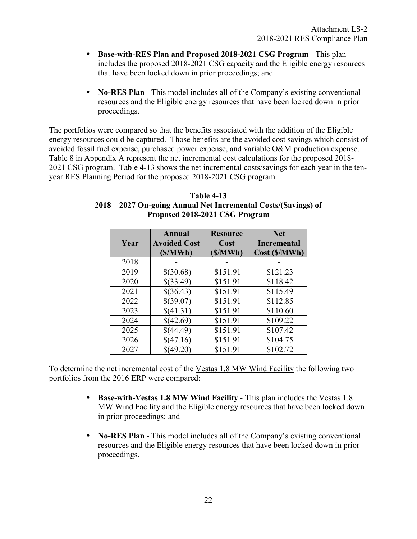- **Base-with-RES Plan and Proposed 2018-2021 CSG Program**  This plan includes the proposed 2018-2021 CSG capacity and the Eligible energy resources that have been locked down in prior proceedings; and
- **No-RES Plan** This model includes all of the Company's existing conventional resources and the Eligible energy resources that have been locked down in prior proceedings.

The portfolios were compared so that the benefits associated with the addition of the Eligible energy resources could be captured. Those benefits are the avoided cost savings which consist of avoided fossil fuel expense, purchased power expense, and variable O&M production expense. Table 8 in Appendix A represent the net incremental cost calculations for the proposed 2018- 2021 CSG program. Table 4-13 shows the net incremental costs/savings for each year in the tenyear RES Planning Period for the proposed 2018-2021 CSG program.

|      | Annual                         | <b>Resource</b> | <b>Net</b>                          |
|------|--------------------------------|-----------------|-------------------------------------|
| Year | <b>Avoided Cost</b><br>(S/MWh) | Cost<br>(S/MWh) | <b>Incremental</b><br>Cost (\$/MWh) |
| 2018 |                                |                 |                                     |
| 2019 | \$(30.68)                      | \$151.91        | \$121.23                            |
| 2020 | \$(33.49)                      | \$151.91        | \$118.42                            |
| 2021 | \$(36.43)                      | \$151.91        | \$115.49                            |
| 2022 | \$(39.07)                      | \$151.91        | \$112.85                            |
| 2023 | \$(41.31)                      | \$151.91        | \$110.60                            |
| 2024 | \$(42.69)                      | \$151.91        | \$109.22                            |
| 2025 | \$(44.49)                      | \$151.91        | \$107.42                            |
| 2026 | \$(47.16)                      | \$151.91        | \$104.75                            |
| 2027 | \$(49.20)                      | \$151.91        | \$102.72                            |

**Table 4-13 2018 – 2027 On-going Annual Net Incremental Costs/(Savings) of Proposed 2018-2021 CSG Program** 

To determine the net incremental cost of the Vestas 1.8 MW Wind Facility the following two portfolios from the 2016 ERP were compared:

- **Base-with-Vestas 1.8 MW Wind Facility** This plan includes the Vestas 1.8 MW Wind Facility and the Eligible energy resources that have been locked down in prior proceedings; and
- **No-RES Plan** This model includes all of the Company's existing conventional resources and the Eligible energy resources that have been locked down in prior proceedings.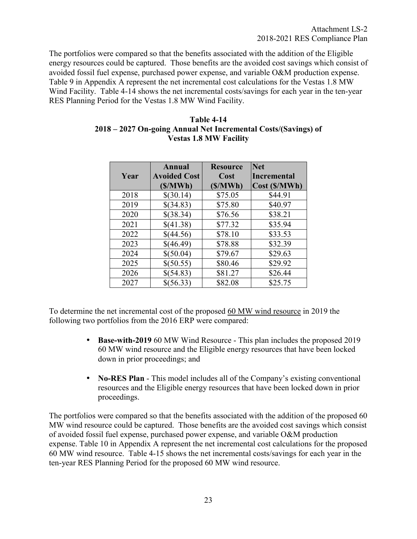The portfolios were compared so that the benefits associated with the addition of the Eligible energy resources could be captured. Those benefits are the avoided cost savings which consist of avoided fossil fuel expense, purchased power expense, and variable O&M production expense. Table 9 in Appendix A represent the net incremental cost calculations for the Vestas 1.8 MW Wind Facility. Table 4-14 shows the net incremental costs/savings for each year in the ten-year RES Planning Period for the Vestas 1.8 MW Wind Facility.

| Table 4-14                                                     |
|----------------------------------------------------------------|
| 2018 – 2027 On-going Annual Net Incremental Costs/(Savings) of |
| <b>Vestas 1.8 MW Facility</b>                                  |

|      | Annual              | <b>Resource</b> | <b>Net</b>    |
|------|---------------------|-----------------|---------------|
| Year | <b>Avoided Cost</b> | Cost            | Incremental   |
|      | (\$/MWh)            | (S/MWh)         | Cost (\$/MWh) |
| 2018 | \$(30.14)           | \$75.05         | \$44.91       |
| 2019 | \$(34.83)           | \$75.80         | \$40.97       |
| 2020 | \$(38.34)           | \$76.56         | \$38.21       |
| 2021 | \$(41.38)           | \$77.32         | \$35.94       |
| 2022 | \$(44.56)           | \$78.10         | \$33.53       |
| 2023 | \$(46.49)           | \$78.88         | \$32.39       |
| 2024 | \$(50.04)           | \$79.67         | \$29.63       |
| 2025 | \$(50.55)           | \$80.46         | \$29.92       |
| 2026 | \$(54.83)           | \$81.27         | \$26.44       |
| 2027 | \$(56.33)           | \$82.08         | \$25.75       |

To determine the net incremental cost of the proposed 60 MW wind resource in 2019 the following two portfolios from the 2016 ERP were compared:

- **Base-with-2019** 60 MW Wind Resource This plan includes the proposed 2019 60 MW wind resource and the Eligible energy resources that have been locked down in prior proceedings; and
- **No-RES Plan** This model includes all of the Company's existing conventional resources and the Eligible energy resources that have been locked down in prior proceedings.

The portfolios were compared so that the benefits associated with the addition of the proposed 60 MW wind resource could be captured. Those benefits are the avoided cost savings which consist of avoided fossil fuel expense, purchased power expense, and variable O&M production expense. Table 10 in Appendix A represent the net incremental cost calculations for the proposed 60 MW wind resource. Table 4-15 shows the net incremental costs/savings for each year in the ten-year RES Planning Period for the proposed 60 MW wind resource.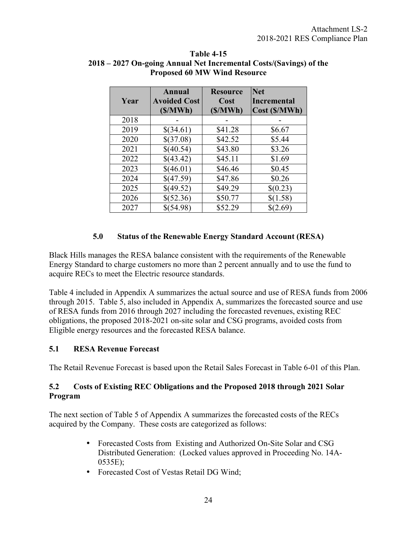| Year | Annual<br><b>Avoided Cost</b><br>(S/MWh) | <b>Resource</b><br>Cost<br>(S/MWh) | <b>Net</b><br><b>Incremental</b><br>Cost (\$/MWh) |
|------|------------------------------------------|------------------------------------|---------------------------------------------------|
| 2018 |                                          |                                    |                                                   |
| 2019 | \$(34.61)                                | \$41.28                            | \$6.67                                            |
| 2020 | \$(37.08)                                | \$42.52                            | \$5.44                                            |
| 2021 | \$(40.54)                                | \$43.80                            | \$3.26                                            |
| 2022 | \$(43.42)                                | \$45.11                            | \$1.69                                            |
| 2023 | \$(46.01)                                | \$46.46                            | \$0.45                                            |
| 2024 | \$(47.59)                                | \$47.86                            | \$0.26                                            |
| 2025 | \$(49.52)                                | \$49.29                            | \$(0.23)                                          |
| 2026 | \$(52.36)                                | \$50.77                            | \$(1.58)                                          |
| 2027 | \$(54.98)                                | \$52.29                            | \$(2.69)                                          |

#### <span id="page-27-0"></span>**Table 4-15 2018 – 2027 On-going Annual Net Incremental Costs/(Savings) of the Proposed 60 MW Wind Resource**

## **5.0 Status of the Renewable Energy Standard Account (RESA)**

Black Hills manages the RESA balance consistent with the requirements of the Renewable Energy Standard to charge customers no more than 2 percent annually and to use the fund to acquire RECs to meet the Electric resource standards.

Table 4 included in Appendix A summarizes the actual source and use of RESA funds from 2006 through 2015. Table 5, also included in Appendix A, summarizes the forecasted source and use of RESA funds from 2016 through 2027 including the forecasted revenues, existing REC obligations, the proposed 2018-2021 on-site solar and CSG programs, avoided costs from Eligible energy resources and the forecasted RESA balance.

## **5.1 RESA Revenue Forecast**

The Retail Revenue Forecast is based upon the Retail Sales Forecast in Table 6-01 of this Plan.

## **5.2 Costs of Existing REC Obligations and the Proposed 2018 through 2021 Solar Program**

The next section of Table 5 of Appendix A summarizes the forecasted costs of the RECs acquired by the Company. These costs are categorized as follows:

- Forecasted Costs from Existing and Authorized On-Site Solar and CSG Distributed Generation: (Locked values approved in Proceeding No. 14A-0535E);
- Forecasted Cost of Vestas Retail DG Wind;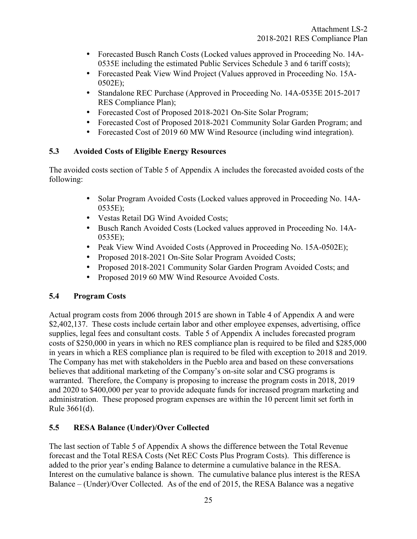- <span id="page-28-0"></span>• Forecasted Busch Ranch Costs (Locked values approved in Proceeding No. 14A-0535E including the estimated Public Services Schedule 3 and 6 tariff costs);
- Forecasted Peak View Wind Project (Values approved in Proceeding No. 15A-0502E);
- Standalone REC Purchase (Approved in Proceeding No. 14A-0535E 2015-2017 RES Compliance Plan);
- Forecasted Cost of Proposed 2018-2021 On-Site Solar Program;
- Forecasted Cost of Proposed 2018-2021 Community Solar Garden Program; and
- Forecasted Cost of 2019 60 MW Wind Resource (including wind integration).

## **5.3 Avoided Costs of Eligible Energy Resources**

The avoided costs section of Table 5 of Appendix A includes the forecasted avoided costs of the following:

- Solar Program Avoided Costs (Locked values approved in Proceeding No. 14A-0535E);
- Vestas Retail DG Wind Avoided Costs;
- Busch Ranch Avoided Costs (Locked values approved in Proceeding No. 14A-0535E);
- Peak View Wind Avoided Costs (Approved in Proceeding No. 15A-0502E);
- Proposed 2018-2021 On-Site Solar Program Avoided Costs;
- Proposed 2018-2021 Community Solar Garden Program Avoided Costs; and
- Proposed 2019 60 MW Wind Resource Avoided Costs.

## **5.4 Program Costs**

Actual program costs from 2006 through 2015 are shown in Table 4 of Appendix A and were \$2,402,137. These costs include certain labor and other employee expenses, advertising, office supplies, legal fees and consultant costs. Table 5 of Appendix A includes forecasted program costs of \$250,000 in years in which no RES compliance plan is required to be filed and \$285,000 in years in which a RES compliance plan is required to be filed with exception to 2018 and 2019. The Company has met with stakeholders in the Pueblo area and based on these conversations believes that additional marketing of the Company's on-site solar and CSG programs is warranted. Therefore, the Company is proposing to increase the program costs in 2018, 2019 and 2020 to \$400,000 per year to provide adequate funds for increased program marketing and administration. These proposed program expenses are within the 10 percent limit set forth in Rule 3661(d).

## **5.5 RESA Balance (Under)/Over Collected**

The last section of Table 5 of Appendix A shows the difference between the Total Revenue forecast and the Total RESA Costs (Net REC Costs Plus Program Costs). This difference is added to the prior year's ending Balance to determine a cumulative balance in the RESA. Interest on the cumulative balance is shown. The cumulative balance plus interest is the RESA Balance – (Under)/Over Collected. As of the end of 2015, the RESA Balance was a negative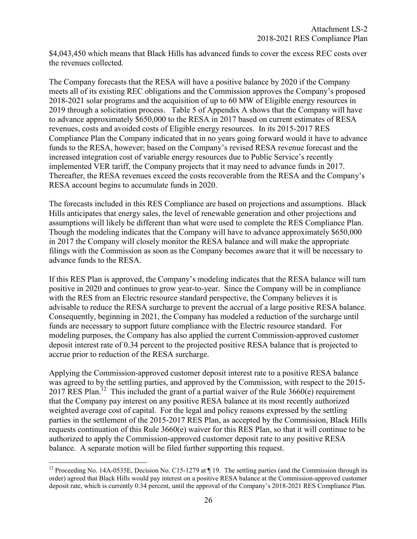\$4,043,450 which means that Black Hills has advanced funds to cover the excess REC costs over the revenues collected.

The Company forecasts that the RESA will have a positive balance by 2020 if the Company meets all of its existing REC obligations and the Commission approves the Company's proposed 2018-2021 solar programs and the acquisition of up to 60 MW of Eligible energy resources in 2019 through a solicitation process. Table 5 of Appendix A shows that the Company will have to advance approximately \$650,000 to the RESA in 2017 based on current estimates of RESA revenues, costs and avoided costs of Eligible energy resources. In its 2015-2017 RES Compliance Plan the Company indicated that in no years going forward would it have to advance funds to the RESA, however; based on the Company's revised RESA revenue forecast and the increased integration cost of variable energy resources due to Public Service's recently implemented VER tariff, the Company projects that it may need to advance funds in 2017. Thereafter, the RESA revenues exceed the costs recoverable from the RESA and the Company's RESA account begins to accumulate funds in 2020.

The forecasts included in this RES Compliance are based on projections and assumptions. Black Hills anticipates that energy sales, the level of renewable generation and other projections and assumptions will likely be different than what were used to complete the RES Compliance Plan. Though the modeling indicates that the Company will have to advance approximately \$650,000 in 2017 the Company will closely monitor the RESA balance and will make the appropriate filings with the Commission as soon as the Company becomes aware that it will be necessary to advance funds to the RESA.

If this RES Plan is approved, the Company's modeling indicates that the RESA balance will turn positive in 2020 and continues to grow year-to-year. Since the Company will be in compliance with the RES from an Electric resource standard perspective, the Company believes it is advisable to reduce the RESA surcharge to prevent the accrual of a large positive RESA balance. Consequently, beginning in 2021, the Company has modeled a reduction of the surcharge until funds are necessary to support future compliance with the Electric resource standard. For modeling purposes, the Company has also applied the current Commission-approved customer deposit interest rate of 0.34 percent to the projected positive RESA balance that is projected to accrue prior to reduction of the RESA surcharge.

Applying the Commission-approved customer deposit interest rate to a positive RESA balance was agreed to by the settling parties, and approved by the Commission, with respect to the 2015- 2017 RES Plan.<sup>12</sup> This included the grant of a partial waiver of the Rule  $3660(e)$  requirement that the Company pay interest on any positive RESA balance at its most recently authorized weighted average cost of capital. For the legal and policy reasons expressed by the settling parties in the settlement of the 2015-2017 RES Plan, as accepted by the Commission, Black Hills requests continuation of this Rule 3660(e) waiver for this RES Plan, so that it will continue to be authorized to apply the Commission-approved customer deposit rate to any positive RESA balance. A separate motion will be filed further supporting this request.

 $\overline{a}$ <sup>12</sup> Proceeding No. 14A-0535E, Decision No. C15-1279 at  $\P$  19. The settling parties (and the Commission through its order) agreed that Black Hills would pay interest on a positive RESA balance at the Commission-approved customer deposit rate, which is currently 0.34 percent, until the approval of the Company's 2018-2021 RES Compliance Plan.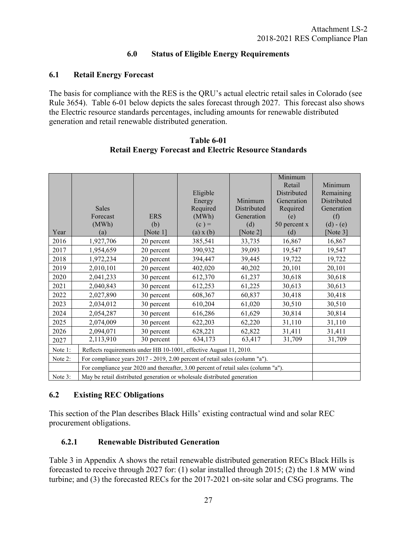## **6.0 Status of Eligible Energy Requirements**

## <span id="page-30-0"></span>**6.1 Retail Energy Forecast**

The basis for compliance with the RES is the QRU's actual electric retail sales in Colorado (see Rule 3654). Table 6-01 below depicts the sales forecast through 2027. This forecast also shows the Electric resource standards percentages, including amounts for renewable distributed generation and retail renewable distributed generation.

|         |                                                                                     |             |           |             | Minimum      |             |
|---------|-------------------------------------------------------------------------------------|-------------|-----------|-------------|--------------|-------------|
|         |                                                                                     |             |           |             | Retail       | Minimum     |
|         |                                                                                     |             | Eligible  |             | Distributed  | Remaining   |
|         |                                                                                     |             | Energy    | Minimum     | Generation   | Distributed |
|         | <b>Sales</b>                                                                        |             | Required  | Distributed | Required     | Generation  |
|         | Forecast                                                                            | <b>ERS</b>  | (MWh)     | Generation  | (e)          | (f)         |
|         | (MWh)                                                                               | (b)         | $(c) =$   | (d)         | 50 percent x | $(d) - (e)$ |
| Year    | (a)                                                                                 | [Note $1$ ] | (a) x (b) | [Note 2]    | (d)          | [Note $3$ ] |
| 2016    | 1,927,706                                                                           | 20 percent  | 385,541   | 33,735      | 16,867       | 16,867      |
| 2017    | 1,954,659                                                                           | 20 percent  | 390,932   | 39,093      | 19,547       | 19,547      |
| 2018    | 1,972,234                                                                           | 20 percent  | 394,447   | 39,445      | 19,722       | 19,722      |
| 2019    | 2,010,101                                                                           | 20 percent  | 402,020   | 40,202      | 20,101       | 20,101      |
| 2020    | 2,041,233                                                                           | 30 percent  | 612,370   | 61,237      | 30,618       | 30,618      |
| 2021    | 2,040,843                                                                           | 30 percent  | 612,253   | 61,225      | 30,613       | 30,613      |
| 2022    | 2,027,890                                                                           | 30 percent  | 608,367   | 60,837      | 30,418       | 30,418      |
| 2023    | 2,034,012                                                                           | 30 percent  | 610,204   | 61,020      | 30,510       | 30,510      |
| 2024    | 2,054,287                                                                           | 30 percent  | 616,286   | 61,629      | 30,814       | 30,814      |
| 2025    | 2,074,009                                                                           | 30 percent  | 622,203   | 62,220      | 31,110       | 31,110      |
| 2026    | 2,094,071                                                                           | 30 percent  | 628,221   | 62,822      | 31,411       | 31,411      |
| 2027    | 2,113,910                                                                           | 30 percent  | 634,173   | 63,417      | 31,709       | 31,709      |
| Note 1: | Reflects requirements under HB 10-1001, effective August 11, 2010.                  |             |           |             |              |             |
| Note 2: | For compliance years 2017 - 2019, 2.00 percent of retail sales (column "a").        |             |           |             |              |             |
|         | For compliance year 2020 and thereafter, 3.00 percent of retail sales (column "a"). |             |           |             |              |             |
| Note 3: | May be retail distributed generation or wholesale distributed generation            |             |           |             |              |             |

**Table 6-01 Retail Energy Forecast and Electric Resource Standards** 

## **6.2 Existing REC Obligations**

This section of the Plan describes Black Hills' existing contractual wind and solar REC procurement obligations.

## **6.2.1 Renewable Distributed Generation**

Table 3 in Appendix A shows the retail renewable distributed generation RECs Black Hills is forecasted to receive through 2027 for: (1) solar installed through 2015; (2) the 1.8 MW wind turbine; and (3) the forecasted RECs for the 2017-2021 on-site solar and CSG programs. The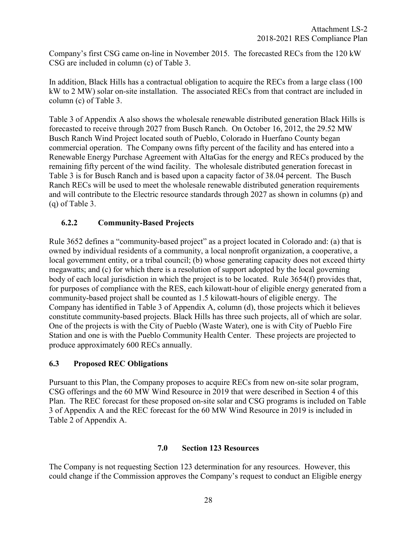<span id="page-31-0"></span>Company's first CSG came on-line in November 2015. The forecasted RECs from the 120 kW CSG are included in column (c) of Table 3.

In addition, Black Hills has a contractual obligation to acquire the RECs from a large class (100 kW to 2 MW) solar on-site installation. The associated RECs from that contract are included in column (c) of Table 3.

Table 3 of Appendix A also shows the wholesale renewable distributed generation Black Hills is forecasted to receive through 2027 from Busch Ranch. On October 16, 2012, the 29.52 MW Busch Ranch Wind Project located south of Pueblo, Colorado in Huerfano County began commercial operation. The Company owns fifty percent of the facility and has entered into a Renewable Energy Purchase Agreement with AltaGas for the energy and RECs produced by the remaining fifty percent of the wind facility. The wholesale distributed generation forecast in Table 3 is for Busch Ranch and is based upon a capacity factor of 38.04 percent. The Busch Ranch RECs will be used to meet the wholesale renewable distributed generation requirements and will contribute to the Electric resource standards through 2027 as shown in columns (p) and (q) of Table 3.

## **6.2.2 Community-Based Projects**

Rule 3652 defines a "community-based project" as a project located in Colorado and: (a) that is owned by individual residents of a community, a local nonprofit organization, a cooperative, a local government entity, or a tribal council; (b) whose generating capacity does not exceed thirty megawatts; and (c) for which there is a resolution of support adopted by the local governing body of each local jurisdiction in which the project is to be located. Rule 3654(f) provides that, for purposes of compliance with the RES, each kilowatt-hour of eligible energy generated from a community-based project shall be counted as 1.5 kilowatt-hours of eligible energy. The Company has identified in Table 3 of Appendix A, column (d), those projects which it believes constitute community-based projects. Black Hills has three such projects, all of which are solar. One of the projects is with the City of Pueblo (Waste Water), one is with City of Pueblo Fire Station and one is with the Pueblo Community Health Center. These projects are projected to produce approximately 600 RECs annually.

## **6.3 Proposed REC Obligations**

Pursuant to this Plan, the Company proposes to acquire RECs from new on-site solar program, CSG offerings and the 60 MW Wind Resource in 2019 that were described in Section 4 of this Plan. The REC forecast for these proposed on-site solar and CSG programs is included on Table 3 of Appendix A and the REC forecast for the 60 MW Wind Resource in 2019 is included in Table 2 of Appendix A.

## **7.0 Section 123 Resources**

The Company is not requesting Section 123 determination for any resources. However, this could change if the Commission approves the Company's request to conduct an Eligible energy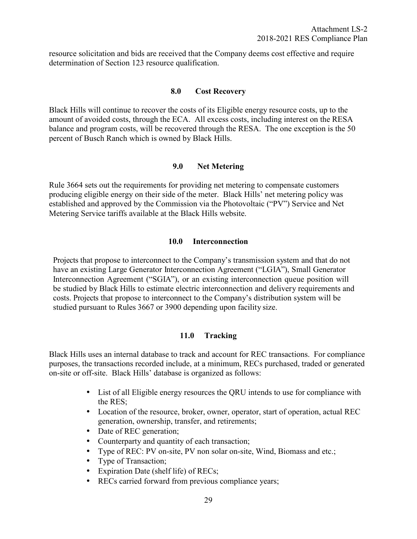<span id="page-32-0"></span>resource solicitation and bids are received that the Company deems cost effective and require determination of Section 123 resource qualification.

#### **8.0 Cost Recovery**

Black Hills will continue to recover the costs of its Eligible energy resource costs, up to the amount of avoided costs, through the ECA. All excess costs, including interest on the RESA balance and program costs, will be recovered through the RESA. The one exception is the 50 percent of Busch Ranch which is owned by Black Hills.

#### **9.0 Net Metering**

Rule 3664 sets out the requirements for providing net metering to compensate customers producing eligible energy on their side of the meter. Black Hills' net metering policy was established and approved by the Commission via the Photovoltaic ("PV") Service and Net Metering Service tariffs available at the Black Hills website.

#### **10.0 Interconnection**

Projects that propose to interconnect to the Company's transmission system and that do not have an existing Large Generator Interconnection Agreement ("LGIA"), Small Generator Interconnection Agreement ("SGIA"), or an existing interconnection queue position will be studied by Black Hills to estimate electric interconnection and delivery requirements and costs. Projects that propose to interconnect to the Company's distribution system will be studied pursuant to Rules 3667 or 3900 depending upon facility size.

## **11.0 Tracking**

Black Hills uses an internal database to track and account for REC transactions. For compliance purposes, the transactions recorded include, at a minimum, RECs purchased, traded or generated on-site or off-site. Black Hills' database is organized as follows:

- List of all Eligible energy resources the QRU intends to use for compliance with the RES;
- Location of the resource, broker, owner, operator, start of operation, actual REC generation, ownership, transfer, and retirements;
- Date of REC generation;
- Counterparty and quantity of each transaction;
- Type of REC: PV on-site, PV non solar on-site, Wind, Biomass and etc.;
- Type of Transaction:
- Expiration Date (shelf life) of RECs;
- RECs carried forward from previous compliance years;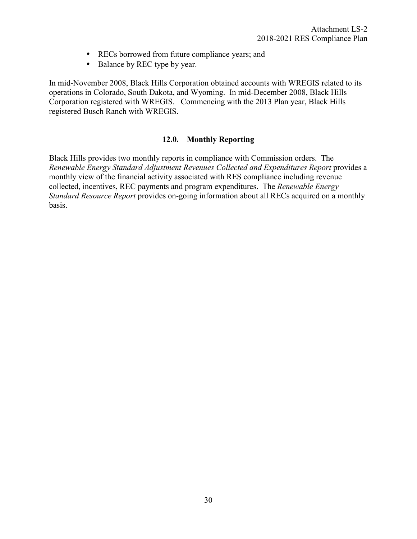- RECs borrowed from future compliance years; and
- Balance by REC type by year.

<span id="page-33-0"></span>In mid-November 2008, Black Hills Corporation obtained accounts with WREGIS related to its operations in Colorado, South Dakota, and Wyoming. In mid-December 2008, Black Hills Corporation registered with WREGIS. Commencing with the 2013 Plan year, Black Hills registered Busch Ranch with WREGIS.

#### **12.0. Monthly Reporting**

Black Hills provides two monthly reports in compliance with Commission orders. The *Renewable Energy Standard Adjustment Revenues Collected and Expenditures Report* provides a monthly view of the financial activity associated with RES compliance including revenue collected, incentives, REC payments and program expenditures. The *Renewable Energy Standard Resource Report* provides on-going information about all RECs acquired on a monthly basis.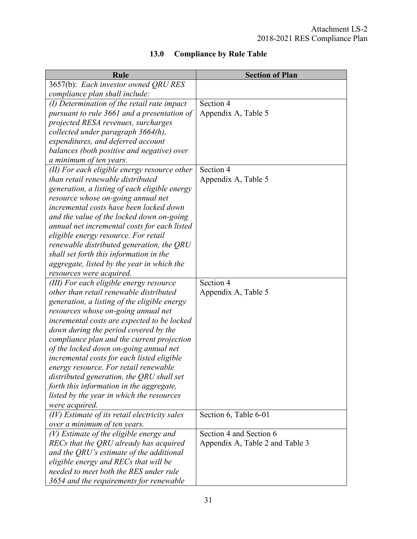<span id="page-34-0"></span>

| Rule                                                                                | <b>Section of Plan</b>          |
|-------------------------------------------------------------------------------------|---------------------------------|
| 3657(b): Each investor owned QRU RES                                                |                                 |
| compliance plan shall include:                                                      |                                 |
| $(I)$ Determination of the retail rate impact                                       | Section 4                       |
| pursuant to rule 3661 and a presentation of                                         | Appendix A, Table 5             |
| projected RESA revenues, surcharges                                                 |                                 |
| collected under paragraph 3664(h),                                                  |                                 |
| expenditures, and deferred account                                                  |                                 |
| balances (both positive and negative) over                                          |                                 |
| a minimum of ten years.                                                             |                                 |
| (II) For each eligible energy resource other                                        | Section 4                       |
| than retail renewable distributed                                                   | Appendix A, Table 5             |
| generation, a listing of each eligible energy                                       |                                 |
| resource whose on-going annual net                                                  |                                 |
| incremental costs have been locked down                                             |                                 |
| and the value of the locked down on-going                                           |                                 |
| annual net incremental costs for each listed                                        |                                 |
| eligible energy resource. For retail                                                |                                 |
| renewable distributed generation, the QRU                                           |                                 |
| shall set forth this information in the                                             |                                 |
| aggregate, listed by the year in which the                                          |                                 |
| resources were acquired.                                                            |                                 |
| (III) For each eligible energy resource                                             | Section 4                       |
| other than retail renewable distributed                                             | Appendix A, Table 5             |
| generation, a listing of the eligible energy                                        |                                 |
| resources whose on-going annual net                                                 |                                 |
| incremental costs are expected to be locked                                         |                                 |
| down during the period covered by the                                               |                                 |
| compliance plan and the current projection                                          |                                 |
| of the locked down on-going annual net                                              |                                 |
| incremental costs for each listed eligible<br>energy resource. For retail renewable |                                 |
| distributed generation, the ORU shall set                                           |                                 |
| forth this information in the aggregate,                                            |                                 |
| listed by the year in which the resources                                           |                                 |
| were acquired.                                                                      |                                 |
| (IV) Estimate of its retail electricity sales                                       | Section 6, Table 6-01           |
| over a minimum of ten years.                                                        |                                 |
| $(V)$ Estimate of the eligible energy and                                           | Section 4 and Section 6         |
| RECs that the QRU already has acquired                                              | Appendix A, Table 2 and Table 3 |
| and the ORU's estimate of the additional                                            |                                 |
| eligible energy and RECs that will be                                               |                                 |
| needed to meet both the RES under rule                                              |                                 |
| 3654 and the requirements for renewable                                             |                                 |

# **13.0 Compliance by Rule Table**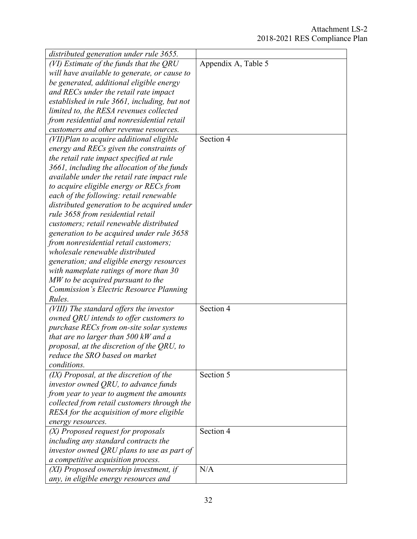| distributed generation under rule 3655.        |                     |
|------------------------------------------------|---------------------|
| (VI) Estimate of the funds that the QRU        | Appendix A, Table 5 |
| will have available to generate, or cause to   |                     |
| be generated, additional eligible energy       |                     |
| and RECs under the retail rate impact          |                     |
| established in rule 3661, including, but not   |                     |
| limited to, the RESA revenues collected        |                     |
| from residential and nonresidential retail     |                     |
| customers and other revenue resources.         |                     |
| (VII)Plan to acquire additional eligible       | Section 4           |
| energy and RECs given the constraints of       |                     |
| the retail rate impact specified at rule       |                     |
| 3661, including the allocation of the funds    |                     |
| available under the retail rate impact rule    |                     |
| to acquire eligible energy or RECs from        |                     |
| each of the following: retail renewable        |                     |
| distributed generation to be acquired under    |                     |
| rule 3658 from residential retail              |                     |
| customers; retail renewable distributed        |                     |
| generation to be acquired under rule 3658      |                     |
| from nonresidential retail customers;          |                     |
| wholesale renewable distributed                |                     |
| generation; and eligible energy resources      |                     |
| with nameplate ratings of more than 30         |                     |
| MW to be acquired pursuant to the              |                     |
| <b>Commission's Electric Resource Planning</b> |                     |
| Rules.                                         |                     |
| (VIII) The standard offers the investor        | Section 4           |
| owned QRU intends to offer customers to        |                     |
| purchase RECs from on-site solar systems       |                     |
| that are no larger than 500 kW and a           |                     |
| proposal, at the discretion of the QRU, to     |                     |
| reduce the SRO based on market                 |                     |
| conditions.                                    |                     |
| (IX) Proposal, at the discretion of the        | Section 5           |
| investor owned QRU, to advance funds           |                     |
| from year to year to augment the amounts       |                     |
| collected from retail customers through the    |                     |
| RESA for the acquisition of more eligible      |                     |
| energy resources.                              |                     |
| (X) Proposed request for proposals             | Section 4           |
| including any standard contracts the           |                     |
| investor owned QRU plans to use as part of     |                     |
| a competitive acquisition process.             |                     |
| (XI) Proposed ownership investment, if         | N/A                 |
| any, in eligible energy resources and          |                     |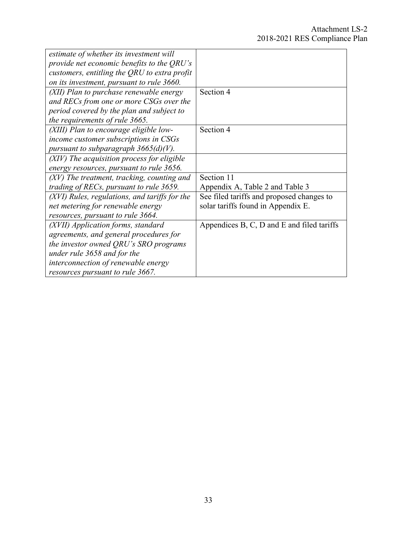| estimate of whether its investment will       |                                            |
|-----------------------------------------------|--------------------------------------------|
| provide net economic benefits to the QRU's    |                                            |
| customers, entitling the QRU to extra profit  |                                            |
| on its investment, pursuant to rule 3660.     |                                            |
| (XII) Plan to purchase renewable energy       | Section 4                                  |
| and RECs from one or more CSGs over the       |                                            |
| period covered by the plan and subject to     |                                            |
| the requirements of rule 3665.                |                                            |
| (XIII) Plan to encourage eligible low-        | Section 4                                  |
| income customer subscriptions in CSGs         |                                            |
| pursuant to subparagraph $3665(d)(V)$ .       |                                            |
| (XIV) The acquisition process for eligible    |                                            |
| energy resources, pursuant to rule 3656.      |                                            |
| (XV) The treatment, tracking, counting and    | Section 11                                 |
| trading of RECs, pursuant to rule 3659.       | Appendix A, Table 2 and Table 3            |
| (XVI) Rules, regulations, and tariffs for the | See filed tariffs and proposed changes to  |
| net metering for renewable energy             | solar tariffs found in Appendix E.         |
| resources, pursuant to rule 3664.             |                                            |
| (XVII) Application forms, standard            | Appendices B, C, D and E and filed tariffs |
| agreements, and general procedures for        |                                            |
| the investor owned QRU's SRO programs         |                                            |
| under rule 3658 and for the                   |                                            |
| interconnection of renewable energy           |                                            |
| resources pursuant to rule 3667.              |                                            |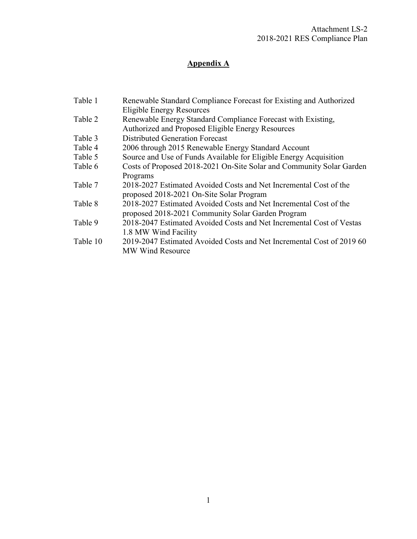# **Appendix A**

| Table 1  | Renewable Standard Compliance Forecast for Existing and Authorized<br><b>Eligible Energy Resources</b> |
|----------|--------------------------------------------------------------------------------------------------------|
| Table 2  | Renewable Energy Standard Compliance Forecast with Existing,                                           |
|          | Authorized and Proposed Eligible Energy Resources                                                      |
| Table 3  | <b>Distributed Generation Forecast</b>                                                                 |
| Table 4  | 2006 through 2015 Renewable Energy Standard Account                                                    |
| Table 5  | Source and Use of Funds Available for Eligible Energy Acquisition                                      |
| Table 6  | Costs of Proposed 2018-2021 On-Site Solar and Community Solar Garden                                   |
|          | Programs                                                                                               |
| Table 7  | 2018-2027 Estimated Avoided Costs and Net Incremental Cost of the                                      |
|          | proposed 2018-2021 On-Site Solar Program                                                               |
| Table 8  | 2018-2027 Estimated Avoided Costs and Net Incremental Cost of the                                      |
|          | proposed 2018-2021 Community Solar Garden Program                                                      |
| Table 9  | 2018-2047 Estimated Avoided Costs and Net Incremental Cost of Vestas                                   |
|          | 1.8 MW Wind Facility                                                                                   |
| Table 10 | 2019-2047 Estimated Avoided Costs and Net Incremental Cost of 2019 60                                  |
|          | <b>MW Wind Resource</b>                                                                                |
|          |                                                                                                        |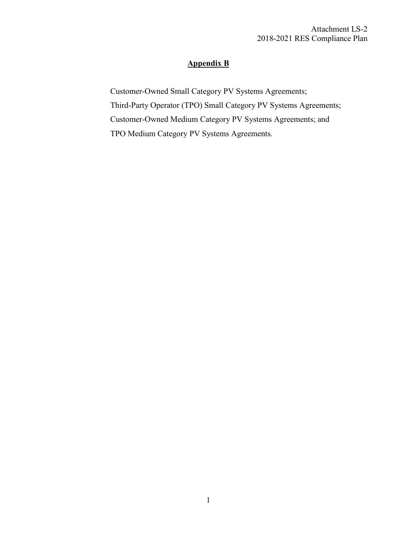## **Appendix B**

Customer-Owned Small Category PV Systems Agreements; Third-Party Operator (TPO) Small Category PV Systems Agreements; Customer-Owned Medium Category PV Systems Agreements; and TPO Medium Category PV Systems Agreements.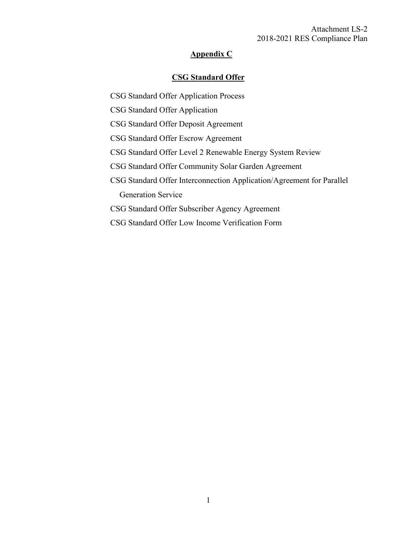#### Attachment LS-2 2018-2021 RES Compliance Plan

## **Appendix C**

## **CSG Standard Offer**

- CSG Standard Offer Application Process
- CSG Standard Offer Application
- CSG Standard Offer Deposit Agreement
- CSG Standard Offer Escrow Agreement
- CSG Standard Offer Level 2 Renewable Energy System Review
- CSG Standard Offer Community Solar Garden Agreement
- CSG Standard Offer Interconnection Application/Agreement for Parallel Generation Service
- CSG Standard Offer Subscriber Agency Agreement
- CSG Standard Offer Low Income Verification Form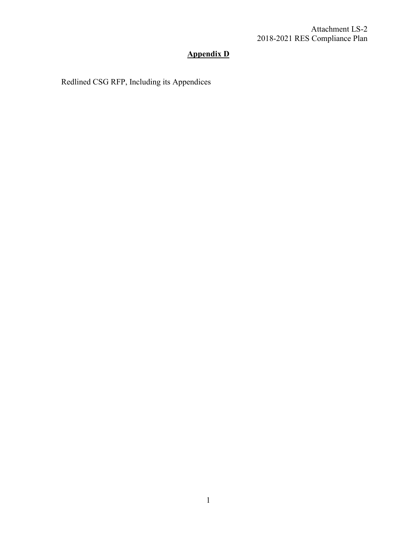# **Appendix D**

Redlined CSG RFP, Including its Appendices